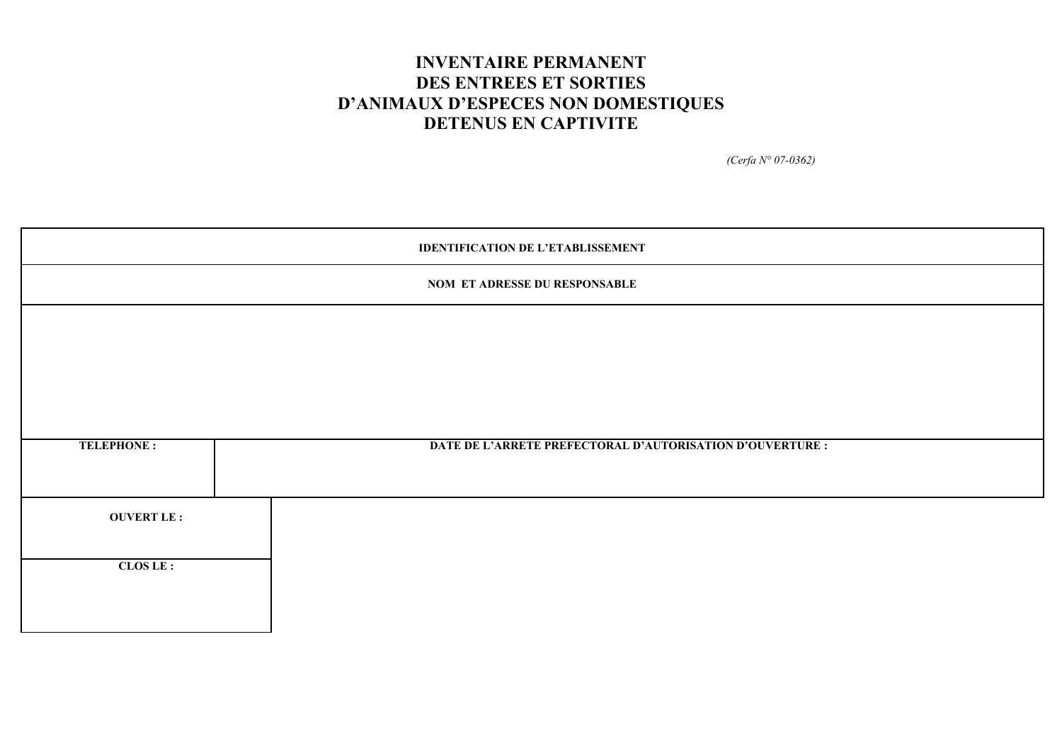# **INVENTAIRE PERMANENT DES ENTREES ET SORTIES D'ANIMAUX D'ESPECES NON DOMESTIQUES DETENUS EN CAPTIVITE**

*(Cerfa N° 07-0362)*

|                   | <b>IDENTIFICATION DE L'ETABLISSEMENT</b>                  |  |  |  |  |  |  |  |  |
|-------------------|-----------------------------------------------------------|--|--|--|--|--|--|--|--|
|                   | NOM ET ADRESSE DU RESPONSABLE                             |  |  |  |  |  |  |  |  |
|                   |                                                           |  |  |  |  |  |  |  |  |
|                   |                                                           |  |  |  |  |  |  |  |  |
|                   |                                                           |  |  |  |  |  |  |  |  |
|                   |                                                           |  |  |  |  |  |  |  |  |
| <b>TELEPHONE:</b> | DATE DE L'ARRETE PREFECTORAL D'AUTORISATION D'OUVERTURE : |  |  |  |  |  |  |  |  |
| <b>OUVERT LE:</b> |                                                           |  |  |  |  |  |  |  |  |
| CLOS LE :         |                                                           |  |  |  |  |  |  |  |  |
|                   |                                                           |  |  |  |  |  |  |  |  |
|                   |                                                           |  |  |  |  |  |  |  |  |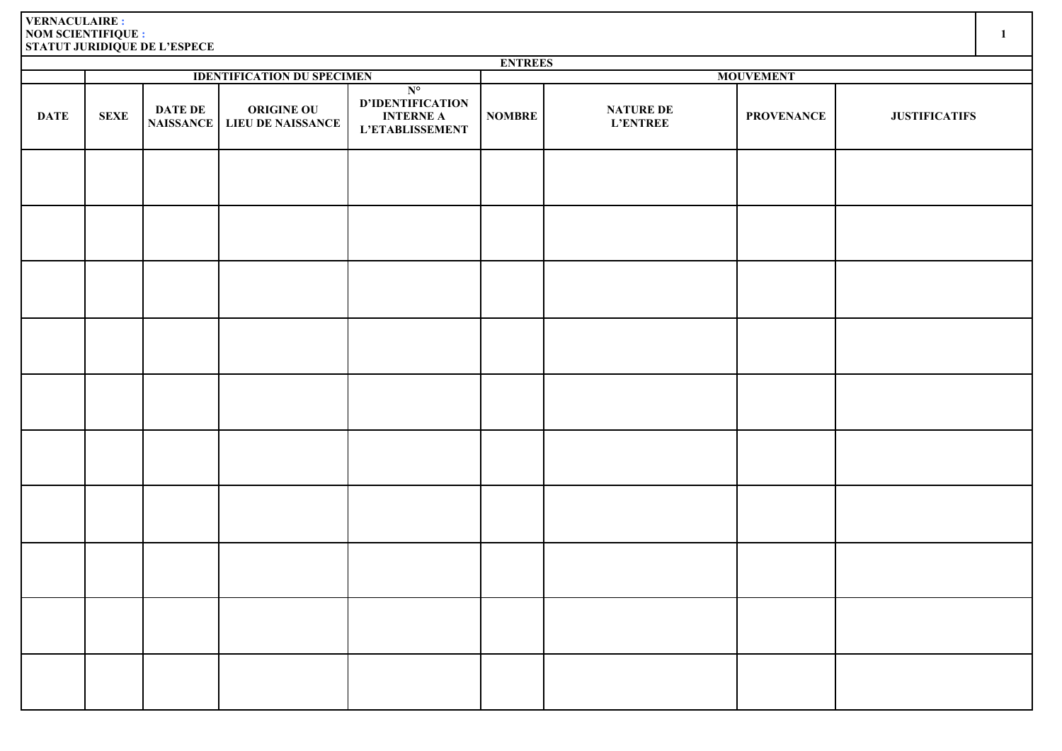|             | <b>ENTREES</b> |                                    |                                               |                                                                               |                  |                                     |                   |                      |  |  |  |  |
|-------------|----------------|------------------------------------|-----------------------------------------------|-------------------------------------------------------------------------------|------------------|-------------------------------------|-------------------|----------------------|--|--|--|--|
|             |                |                                    | <b>IDENTIFICATION DU SPECIMEN</b>             |                                                                               | <b>MOUVEMENT</b> |                                     |                   |                      |  |  |  |  |
| <b>DATE</b> | <b>SEXE</b>    | <b>DATE DE</b><br><b>NAISSANCE</b> | <b>ORIGINE OU</b><br><b>LIEU DE NAISSANCE</b> | $N^{\circ}$<br>D'IDENTIFICATION<br><b>INTERNE A</b><br><b>L'ETABLISSEMENT</b> | <b>NOMBRE</b>    | <b>NATURE DE</b><br><b>L'ENTREE</b> | <b>PROVENANCE</b> | <b>JUSTIFICATIFS</b> |  |  |  |  |
|             |                |                                    |                                               |                                                                               |                  |                                     |                   |                      |  |  |  |  |
|             |                |                                    |                                               |                                                                               |                  |                                     |                   |                      |  |  |  |  |
|             |                |                                    |                                               |                                                                               |                  |                                     |                   |                      |  |  |  |  |
|             |                |                                    |                                               |                                                                               |                  |                                     |                   |                      |  |  |  |  |
|             |                |                                    |                                               |                                                                               |                  |                                     |                   |                      |  |  |  |  |
|             |                |                                    |                                               |                                                                               |                  |                                     |                   |                      |  |  |  |  |
|             |                |                                    |                                               |                                                                               |                  |                                     |                   |                      |  |  |  |  |
|             |                |                                    |                                               |                                                                               |                  |                                     |                   |                      |  |  |  |  |
|             |                |                                    |                                               |                                                                               |                  |                                     |                   |                      |  |  |  |  |
|             |                |                                    |                                               |                                                                               |                  |                                     |                   |                      |  |  |  |  |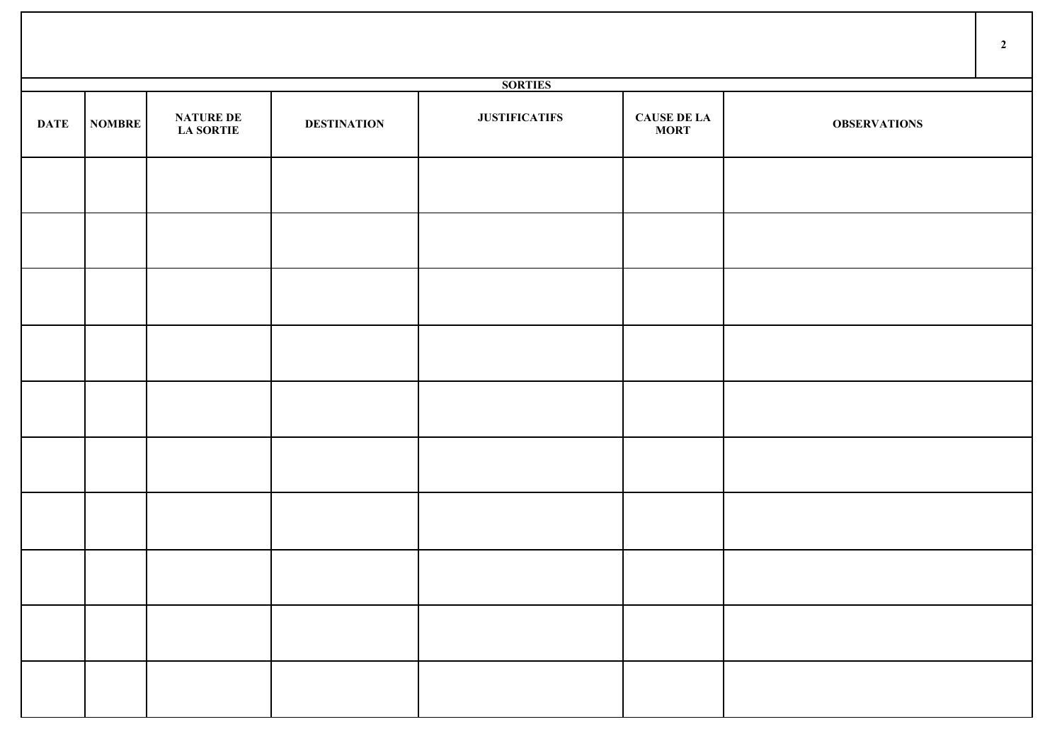|             |        |                                      |                    |                      |                                   |                     | $\overline{2}$ |
|-------------|--------|--------------------------------------|--------------------|----------------------|-----------------------------------|---------------------|----------------|
|             |        |                                      |                    | <b>SORTIES</b>       |                                   |                     |                |
| <b>DATE</b> | NOMBRE | <b>NATURE DE</b><br><b>LA SORTIE</b> | <b>DESTINATION</b> | <b>JUSTIFICATIFS</b> | <b>CAUSE DE LA</b><br><b>MORT</b> | <b>OBSERVATIONS</b> |                |
|             |        |                                      |                    |                      |                                   |                     |                |
|             |        |                                      |                    |                      |                                   |                     |                |
|             |        |                                      |                    |                      |                                   |                     |                |
|             |        |                                      |                    |                      |                                   |                     |                |
|             |        |                                      |                    |                      |                                   |                     |                |
|             |        |                                      |                    |                      |                                   |                     |                |
|             |        |                                      |                    |                      |                                   |                     |                |
|             |        |                                      |                    |                      |                                   |                     |                |
|             |        |                                      |                    |                      |                                   |                     |                |
|             |        |                                      |                    |                      |                                   |                     |                |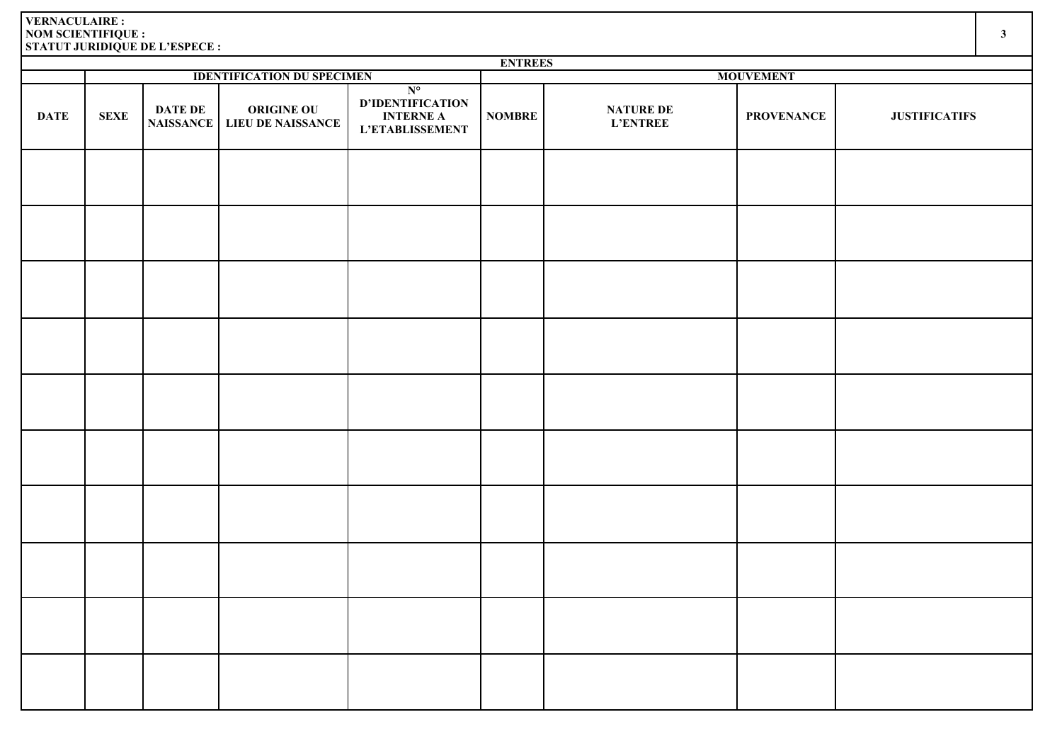|             | <b>ENTREES</b> |                |                                             |                                                                               |                  |                                     |                   |                      |  |  |  |  |
|-------------|----------------|----------------|---------------------------------------------|-------------------------------------------------------------------------------|------------------|-------------------------------------|-------------------|----------------------|--|--|--|--|
|             |                |                | <b>IDENTIFICATION DU SPECIMEN</b>           |                                                                               | <b>MOUVEMENT</b> |                                     |                   |                      |  |  |  |  |
| <b>DATE</b> | <b>SEXE</b>    | <b>DATE DE</b> | ORIGINE OU<br>NAISSANCE   LIEU DE NAISSANCE | $N^{\circ}$<br><b>D'IDENTIFICATION</b><br><b>INTERNE A</b><br>L'ETABLISSEMENT | <b>NOMBRE</b>    | <b>NATURE DE</b><br><b>L'ENTREE</b> | <b>PROVENANCE</b> | <b>JUSTIFICATIFS</b> |  |  |  |  |
|             |                |                |                                             |                                                                               |                  |                                     |                   |                      |  |  |  |  |
|             |                |                |                                             |                                                                               |                  |                                     |                   |                      |  |  |  |  |
|             |                |                |                                             |                                                                               |                  |                                     |                   |                      |  |  |  |  |
|             |                |                |                                             |                                                                               |                  |                                     |                   |                      |  |  |  |  |
|             |                |                |                                             |                                                                               |                  |                                     |                   |                      |  |  |  |  |
|             |                |                |                                             |                                                                               |                  |                                     |                   |                      |  |  |  |  |
|             |                |                |                                             |                                                                               |                  |                                     |                   |                      |  |  |  |  |
|             |                |                |                                             |                                                                               |                  |                                     |                   |                      |  |  |  |  |
|             |                |                |                                             |                                                                               |                  |                                     |                   |                      |  |  |  |  |
|             |                |                |                                             |                                                                               |                  |                                     |                   |                      |  |  |  |  |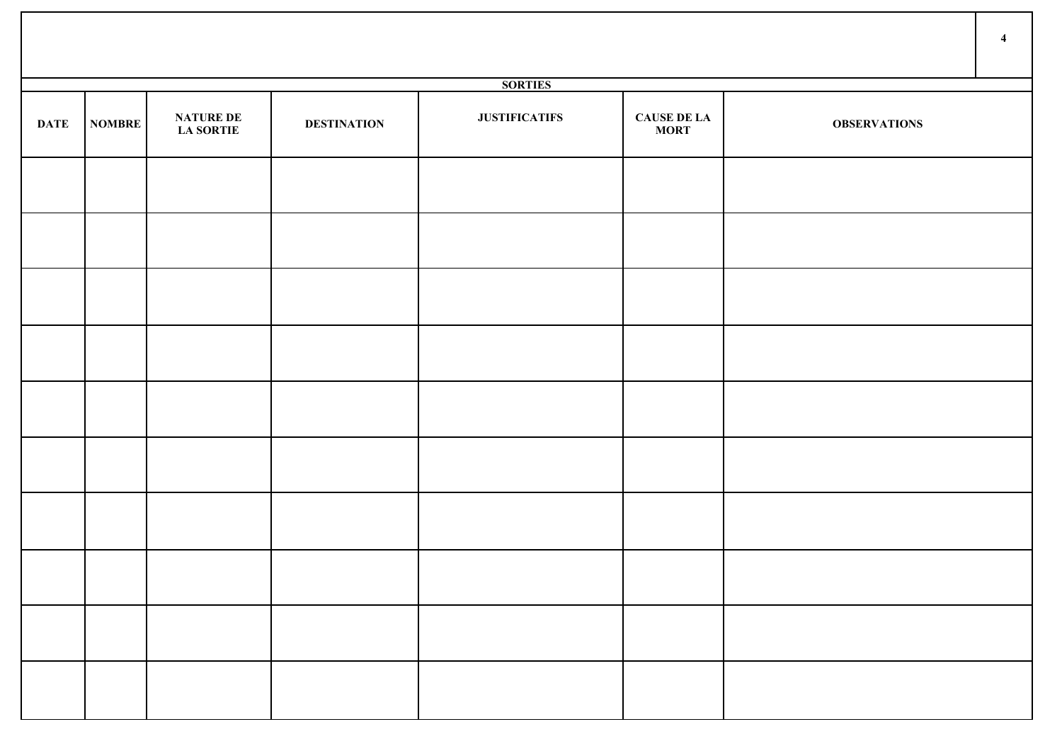|             |               |                                      |                    |                      |                                   |                     | $\overline{4}$ |
|-------------|---------------|--------------------------------------|--------------------|----------------------|-----------------------------------|---------------------|----------------|
|             |               |                                      |                    | <b>SORTIES</b>       |                                   |                     |                |
| <b>DATE</b> | <b>NOMBRE</b> | <b>NATURE DE</b><br><b>LA SORTIE</b> | <b>DESTINATION</b> | <b>JUSTIFICATIFS</b> | <b>CAUSE DE LA</b><br><b>MORT</b> | <b>OBSERVATIONS</b> |                |
|             |               |                                      |                    |                      |                                   |                     |                |
|             |               |                                      |                    |                      |                                   |                     |                |
|             |               |                                      |                    |                      |                                   |                     |                |
|             |               |                                      |                    |                      |                                   |                     |                |
|             |               |                                      |                    |                      |                                   |                     |                |
|             |               |                                      |                    |                      |                                   |                     |                |
|             |               |                                      |                    |                      |                                   |                     |                |
|             |               |                                      |                    |                      |                                   |                     |                |
|             |               |                                      |                    |                      |                                   |                     |                |
|             |               |                                      |                    |                      |                                   |                     |                |

Τ

 $\mathsf{T}$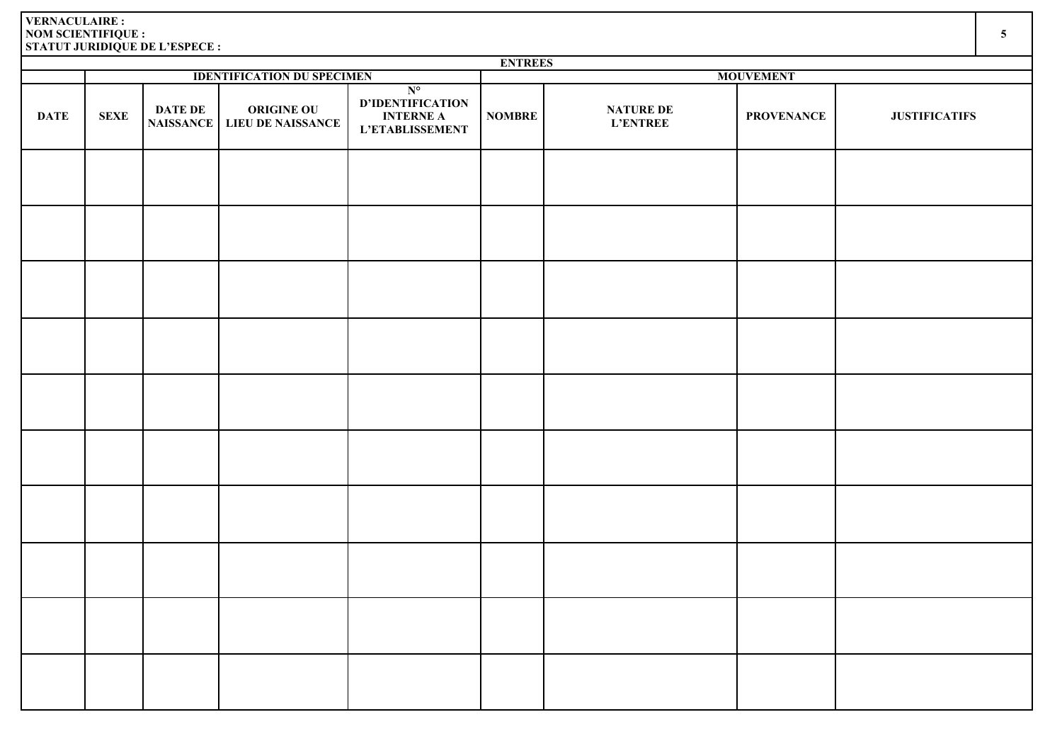|             | <b>ENTREES</b> |                |                                             |                                                                               |                  |                                     |                   |                      |  |  |  |  |
|-------------|----------------|----------------|---------------------------------------------|-------------------------------------------------------------------------------|------------------|-------------------------------------|-------------------|----------------------|--|--|--|--|
|             |                |                | <b>IDENTIFICATION DU SPECIMEN</b>           |                                                                               | <b>MOUVEMENT</b> |                                     |                   |                      |  |  |  |  |
| <b>DATE</b> | <b>SEXE</b>    | <b>DATE DE</b> | ORIGINE OU<br>NAISSANCE   LIEU DE NAISSANCE | $N^{\circ}$<br><b>D'IDENTIFICATION</b><br><b>INTERNE A</b><br>L'ETABLISSEMENT | <b>NOMBRE</b>    | <b>NATURE DE</b><br><b>L'ENTREE</b> | <b>PROVENANCE</b> | <b>JUSTIFICATIFS</b> |  |  |  |  |
|             |                |                |                                             |                                                                               |                  |                                     |                   |                      |  |  |  |  |
|             |                |                |                                             |                                                                               |                  |                                     |                   |                      |  |  |  |  |
|             |                |                |                                             |                                                                               |                  |                                     |                   |                      |  |  |  |  |
|             |                |                |                                             |                                                                               |                  |                                     |                   |                      |  |  |  |  |
|             |                |                |                                             |                                                                               |                  |                                     |                   |                      |  |  |  |  |
|             |                |                |                                             |                                                                               |                  |                                     |                   |                      |  |  |  |  |
|             |                |                |                                             |                                                                               |                  |                                     |                   |                      |  |  |  |  |
|             |                |                |                                             |                                                                               |                  |                                     |                   |                      |  |  |  |  |
|             |                |                |                                             |                                                                               |                  |                                     |                   |                      |  |  |  |  |
|             |                |                |                                             |                                                                               |                  |                                     |                   |                      |  |  |  |  |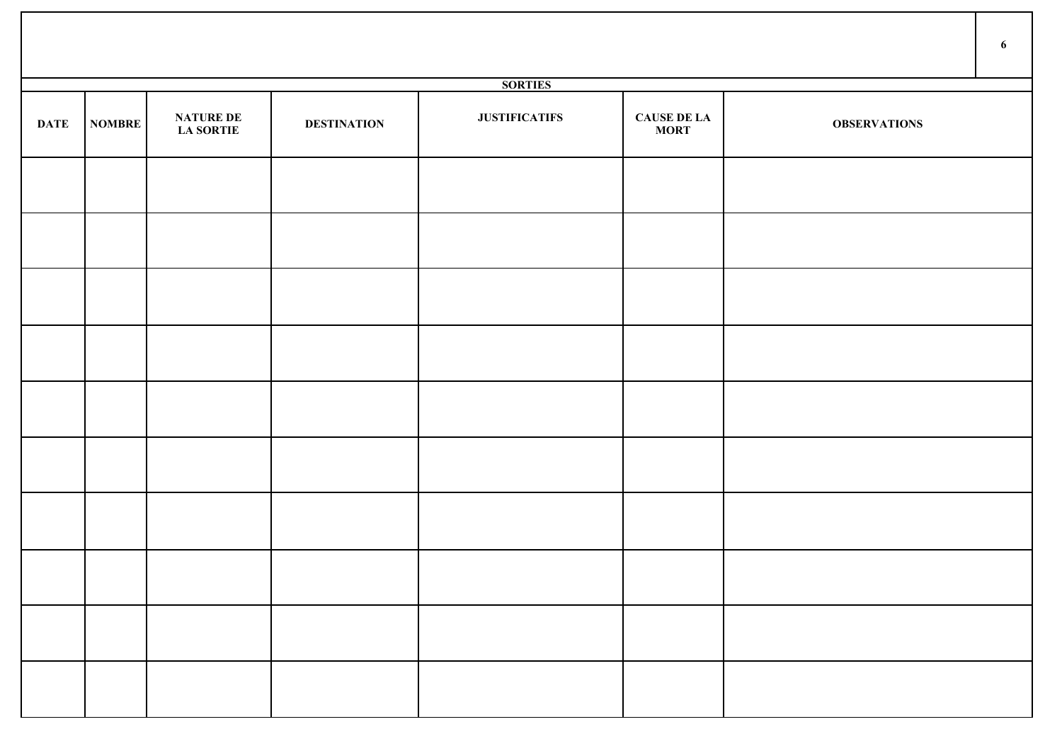|             |               |                                      |                    |                      |                                   |                     | 6 |
|-------------|---------------|--------------------------------------|--------------------|----------------------|-----------------------------------|---------------------|---|
|             |               |                                      |                    | <b>SORTIES</b>       |                                   |                     |   |
| <b>DATE</b> | <b>NOMBRE</b> | <b>NATURE DE</b><br><b>LA SORTIE</b> | <b>DESTINATION</b> | <b>JUSTIFICATIFS</b> | <b>CAUSE DE LA</b><br><b>MORT</b> | <b>OBSERVATIONS</b> |   |
|             |               |                                      |                    |                      |                                   |                     |   |
|             |               |                                      |                    |                      |                                   |                     |   |
|             |               |                                      |                    |                      |                                   |                     |   |
|             |               |                                      |                    |                      |                                   |                     |   |
|             |               |                                      |                    |                      |                                   |                     |   |
|             |               |                                      |                    |                      |                                   |                     |   |
|             |               |                                      |                    |                      |                                   |                     |   |
|             |               |                                      |                    |                      |                                   |                     |   |
|             |               |                                      |                    |                      |                                   |                     |   |
|             |               |                                      |                    |                      |                                   |                     |   |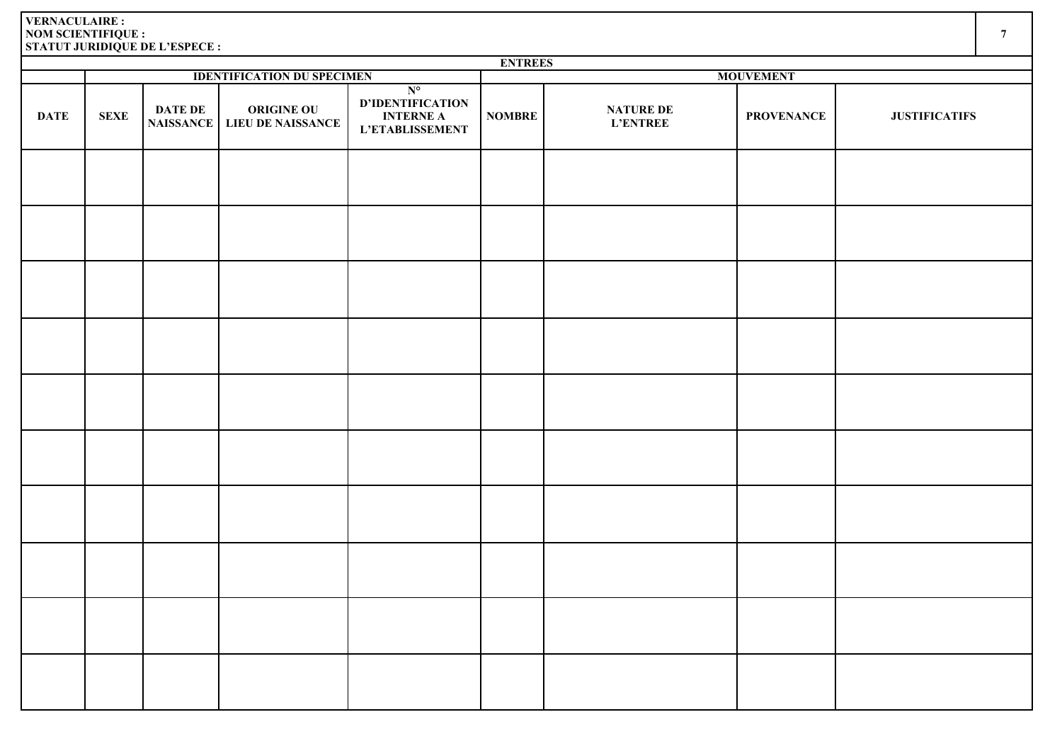|             | <b>ENTREES</b> |                |                                                    |                                                                        |               |                              |                   |                      |  |  |  |  |  |
|-------------|----------------|----------------|----------------------------------------------------|------------------------------------------------------------------------|---------------|------------------------------|-------------------|----------------------|--|--|--|--|--|
|             |                |                | <b>IDENTIFICATION DU SPECIMEN</b>                  |                                                                        |               |                              | <b>MOUVEMENT</b>  |                      |  |  |  |  |  |
| <b>DATE</b> | <b>SEXE</b>    | <b>DATE DE</b> | <b>ORIGINE OU</b><br>NAISSANCE   LIEU DE NAISSANCE | $N^{\circ}$<br>D'IDENTIFICATION<br><b>INTERNE A</b><br>L'ETABLISSEMENT | <b>NOMBRE</b> | NATURE DE<br><b>L'ENTREE</b> | <b>PROVENANCE</b> | <b>JUSTIFICATIFS</b> |  |  |  |  |  |
|             |                |                |                                                    |                                                                        |               |                              |                   |                      |  |  |  |  |  |
|             |                |                |                                                    |                                                                        |               |                              |                   |                      |  |  |  |  |  |
|             |                |                |                                                    |                                                                        |               |                              |                   |                      |  |  |  |  |  |
|             |                |                |                                                    |                                                                        |               |                              |                   |                      |  |  |  |  |  |
|             |                |                |                                                    |                                                                        |               |                              |                   |                      |  |  |  |  |  |
|             |                |                |                                                    |                                                                        |               |                              |                   |                      |  |  |  |  |  |
|             |                |                |                                                    |                                                                        |               |                              |                   |                      |  |  |  |  |  |
|             |                |                |                                                    |                                                                        |               |                              |                   |                      |  |  |  |  |  |
|             |                |                |                                                    |                                                                        |               |                              |                   |                      |  |  |  |  |  |
|             |                |                |                                                    |                                                                        |               |                              |                   |                      |  |  |  |  |  |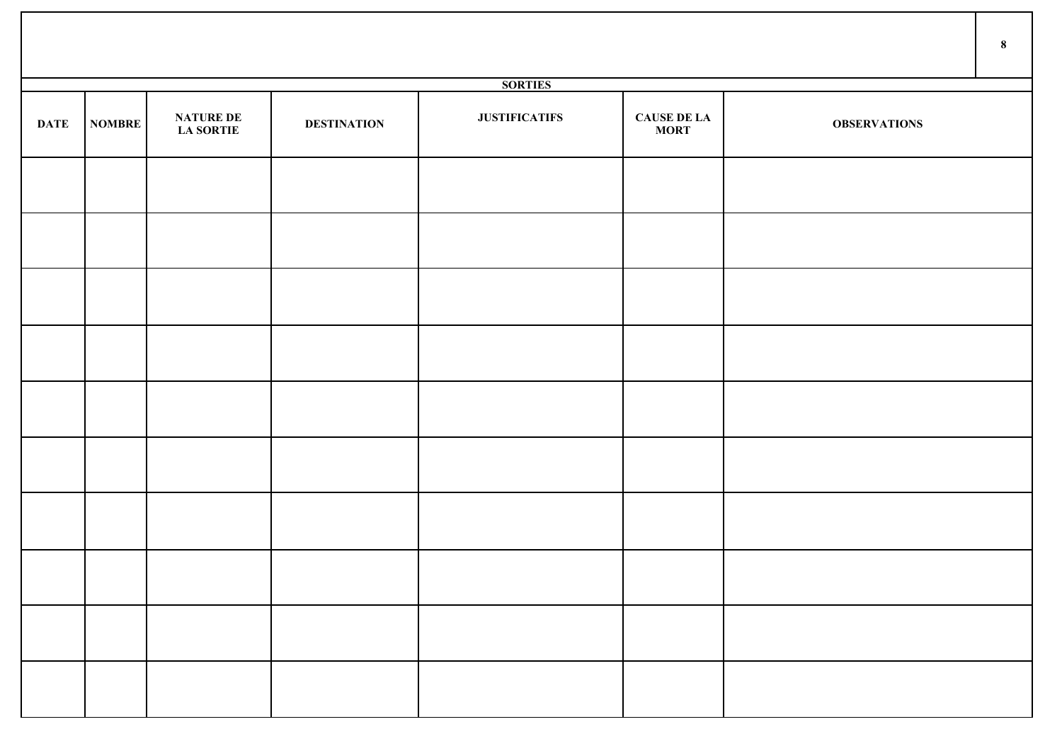|             |        |                                      |                    |                      |                                   |                     | $\bf{8}$ |
|-------------|--------|--------------------------------------|--------------------|----------------------|-----------------------------------|---------------------|----------|
|             |        |                                      |                    | <b>SORTIES</b>       |                                   |                     |          |
| <b>DATE</b> | NOMBRE | <b>NATURE DE</b><br><b>LA SORTIE</b> | <b>DESTINATION</b> | <b>JUSTIFICATIFS</b> | <b>CAUSE DE LA</b><br><b>MORT</b> | <b>OBSERVATIONS</b> |          |
|             |        |                                      |                    |                      |                                   |                     |          |
|             |        |                                      |                    |                      |                                   |                     |          |
|             |        |                                      |                    |                      |                                   |                     |          |
|             |        |                                      |                    |                      |                                   |                     |          |
|             |        |                                      |                    |                      |                                   |                     |          |
|             |        |                                      |                    |                      |                                   |                     |          |
|             |        |                                      |                    |                      |                                   |                     |          |
|             |        |                                      |                    |                      |                                   |                     |          |
|             |        |                                      |                    |                      |                                   |                     |          |
|             |        |                                      |                    |                      |                                   |                     |          |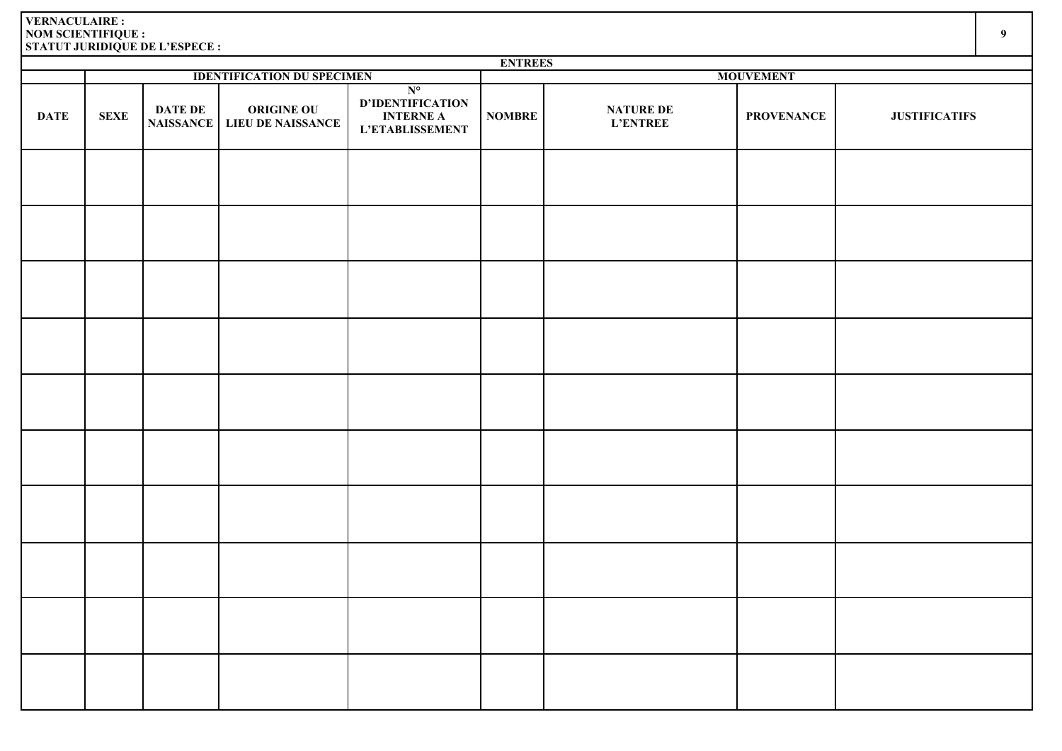|             | <b>ENTREES</b> |                                    |                                               |                                                                        |                  |                                     |                   |                      |  |  |  |  |
|-------------|----------------|------------------------------------|-----------------------------------------------|------------------------------------------------------------------------|------------------|-------------------------------------|-------------------|----------------------|--|--|--|--|
|             |                |                                    | <b>IDENTIFICATION DU SPECIMEN</b>             |                                                                        | <b>MOUVEMENT</b> |                                     |                   |                      |  |  |  |  |
| <b>DATE</b> | <b>SEXE</b>    | <b>DATE DE</b><br><b>NAISSANCE</b> | <b>ORIGINE OU</b><br><b>LIEU DE NAISSANCE</b> | $N^{\circ}$<br>D'IDENTIFICATION<br><b>INTERNE A</b><br>L'ETABLISSEMENT | <b>NOMBRE</b>    | <b>NATURE DE</b><br><b>L'ENTREE</b> | <b>PROVENANCE</b> | <b>JUSTIFICATIFS</b> |  |  |  |  |
|             |                |                                    |                                               |                                                                        |                  |                                     |                   |                      |  |  |  |  |
|             |                |                                    |                                               |                                                                        |                  |                                     |                   |                      |  |  |  |  |
|             |                |                                    |                                               |                                                                        |                  |                                     |                   |                      |  |  |  |  |
|             |                |                                    |                                               |                                                                        |                  |                                     |                   |                      |  |  |  |  |
|             |                |                                    |                                               |                                                                        |                  |                                     |                   |                      |  |  |  |  |
|             |                |                                    |                                               |                                                                        |                  |                                     |                   |                      |  |  |  |  |
|             |                |                                    |                                               |                                                                        |                  |                                     |                   |                      |  |  |  |  |
|             |                |                                    |                                               |                                                                        |                  |                                     |                   |                      |  |  |  |  |
|             |                |                                    |                                               |                                                                        |                  |                                     |                   |                      |  |  |  |  |
|             |                |                                    |                                               |                                                                        |                  |                                     |                   |                      |  |  |  |  |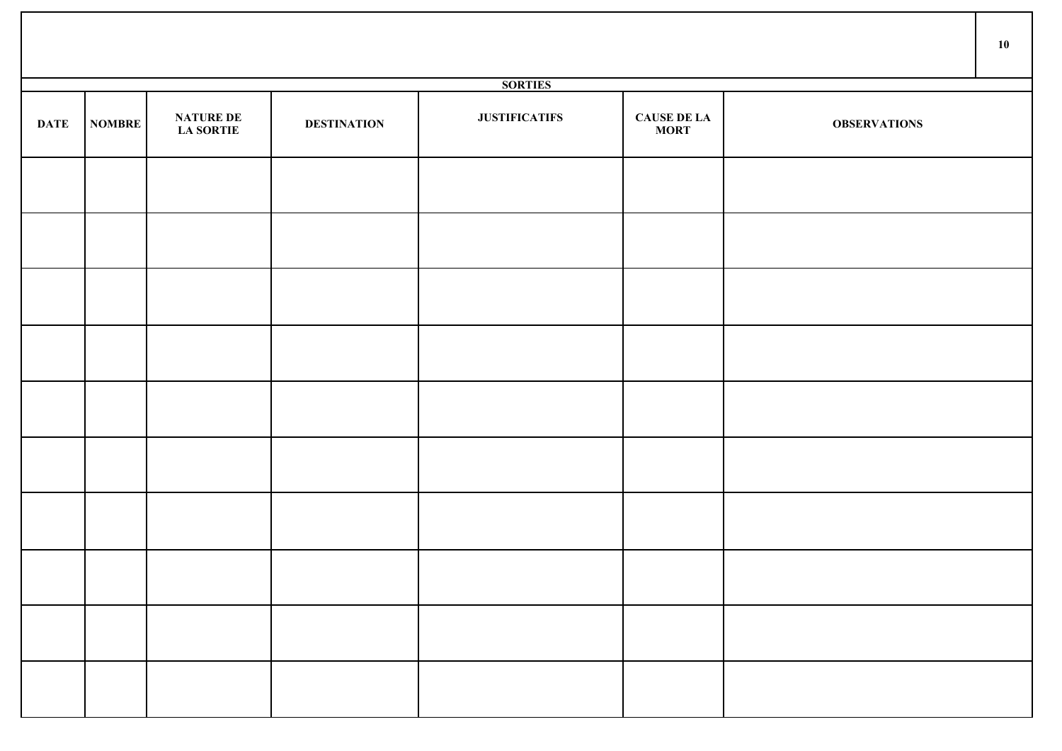|                |               |                                      |                    |                      |                                   |                     | 10 |  |  |  |  |
|----------------|---------------|--------------------------------------|--------------------|----------------------|-----------------------------------|---------------------|----|--|--|--|--|
| <b>SORTIES</b> |               |                                      |                    |                      |                                   |                     |    |  |  |  |  |
| <b>DATE</b>    | <b>NOMBRE</b> | <b>NATURE DE</b><br><b>LA SORTIE</b> | <b>DESTINATION</b> | <b>JUSTIFICATIFS</b> | <b>CAUSE DE LA</b><br><b>MORT</b> | <b>OBSERVATIONS</b> |    |  |  |  |  |
|                |               |                                      |                    |                      |                                   |                     |    |  |  |  |  |
|                |               |                                      |                    |                      |                                   |                     |    |  |  |  |  |
|                |               |                                      |                    |                      |                                   |                     |    |  |  |  |  |
|                |               |                                      |                    |                      |                                   |                     |    |  |  |  |  |
|                |               |                                      |                    |                      |                                   |                     |    |  |  |  |  |
|                |               |                                      |                    |                      |                                   |                     |    |  |  |  |  |
|                |               |                                      |                    |                      |                                   |                     |    |  |  |  |  |
|                |               |                                      |                    |                      |                                   |                     |    |  |  |  |  |
|                |               |                                      |                    |                      |                                   |                     |    |  |  |  |  |
|                |               |                                      |                    |                      |                                   |                     |    |  |  |  |  |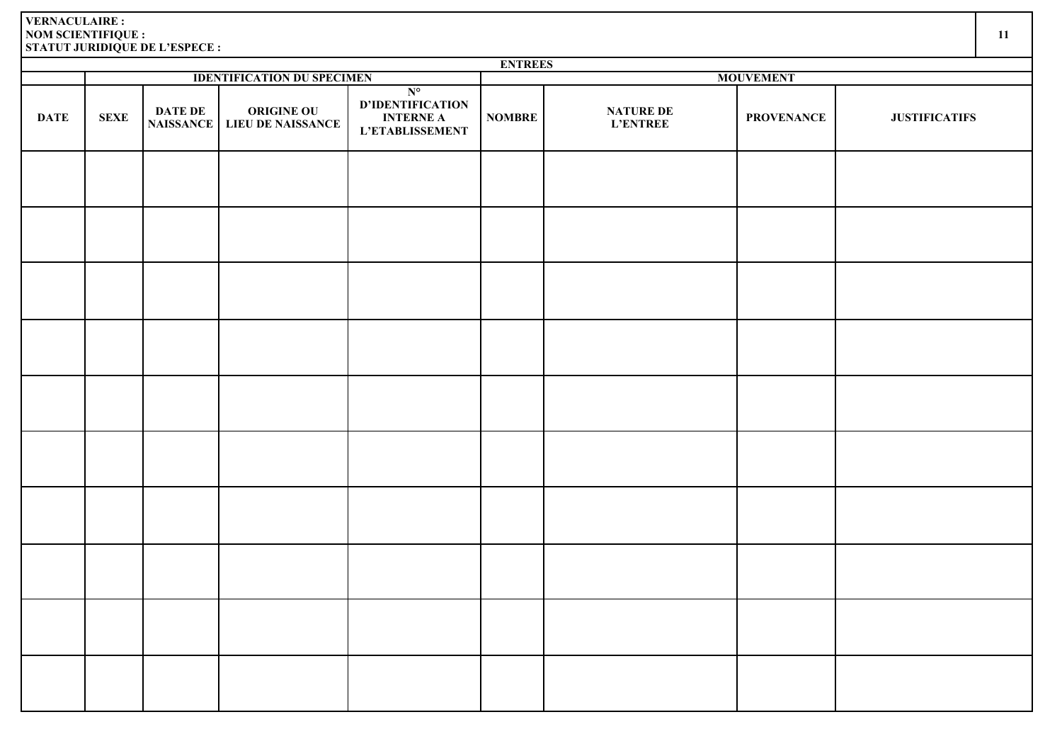|             | <b>ENTREES</b> |                                    |                                               |                                                                               |                  |                              |                   |                      |  |  |  |  |
|-------------|----------------|------------------------------------|-----------------------------------------------|-------------------------------------------------------------------------------|------------------|------------------------------|-------------------|----------------------|--|--|--|--|
|             |                |                                    | <b>IDENTIFICATION DU SPECIMEN</b>             |                                                                               | <b>MOUVEMENT</b> |                              |                   |                      |  |  |  |  |
| <b>DATE</b> | <b>SEXE</b>    | <b>DATE DE</b><br><b>NAISSANCE</b> | <b>ORIGINE OU</b><br><b>LIEU DE NAISSANCE</b> | $N^{\circ}$<br>D'IDENTIFICATION<br><b>INTERNE A</b><br><b>L'ETABLISSEMENT</b> | <b>NOMBRE</b>    | NATURE DE<br><b>L'ENTREE</b> | <b>PROVENANCE</b> | <b>JUSTIFICATIFS</b> |  |  |  |  |
|             |                |                                    |                                               |                                                                               |                  |                              |                   |                      |  |  |  |  |
|             |                |                                    |                                               |                                                                               |                  |                              |                   |                      |  |  |  |  |
|             |                |                                    |                                               |                                                                               |                  |                              |                   |                      |  |  |  |  |
|             |                |                                    |                                               |                                                                               |                  |                              |                   |                      |  |  |  |  |
|             |                |                                    |                                               |                                                                               |                  |                              |                   |                      |  |  |  |  |
|             |                |                                    |                                               |                                                                               |                  |                              |                   |                      |  |  |  |  |
|             |                |                                    |                                               |                                                                               |                  |                              |                   |                      |  |  |  |  |
|             |                |                                    |                                               |                                                                               |                  |                              |                   |                      |  |  |  |  |
|             |                |                                    |                                               |                                                                               |                  |                              |                   |                      |  |  |  |  |
|             |                |                                    |                                               |                                                                               |                  |                              |                   |                      |  |  |  |  |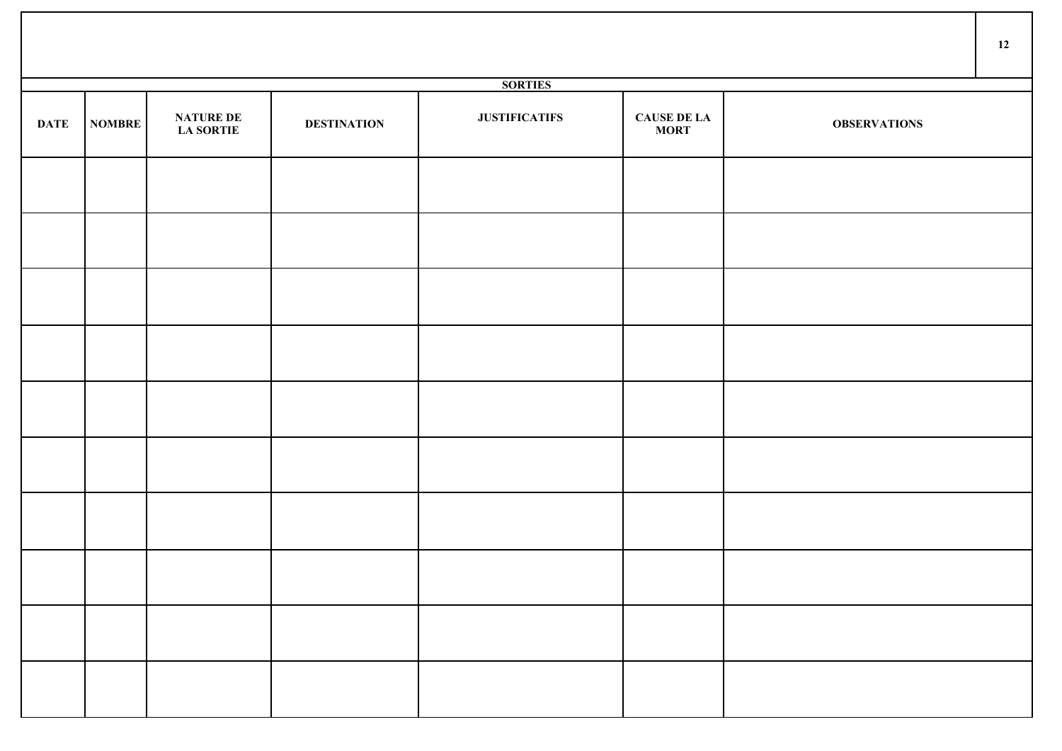|             |               |                                      |                    |                      |                                   |                     | 12 |
|-------------|---------------|--------------------------------------|--------------------|----------------------|-----------------------------------|---------------------|----|
|             |               |                                      |                    | <b>SORTIES</b>       |                                   |                     |    |
| <b>DATE</b> | <b>NOMBRE</b> | <b>NATURE DE</b><br><b>LA SORTIE</b> | <b>DESTINATION</b> | <b>JUSTIFICATIFS</b> | <b>CAUSE DE LA</b><br><b>MORT</b> | <b>OBSERVATIONS</b> |    |
|             |               |                                      |                    |                      |                                   |                     |    |
|             |               |                                      |                    |                      |                                   |                     |    |
|             |               |                                      |                    |                      |                                   |                     |    |
|             |               |                                      |                    |                      |                                   |                     |    |
|             |               |                                      |                    |                      |                                   |                     |    |
|             |               |                                      |                    |                      |                                   |                     |    |
|             |               |                                      |                    |                      |                                   |                     |    |
|             |               |                                      |                    |                      |                                   |                     |    |
|             |               |                                      |                    |                      |                                   |                     |    |
|             |               |                                      |                    |                      |                                   |                     |    |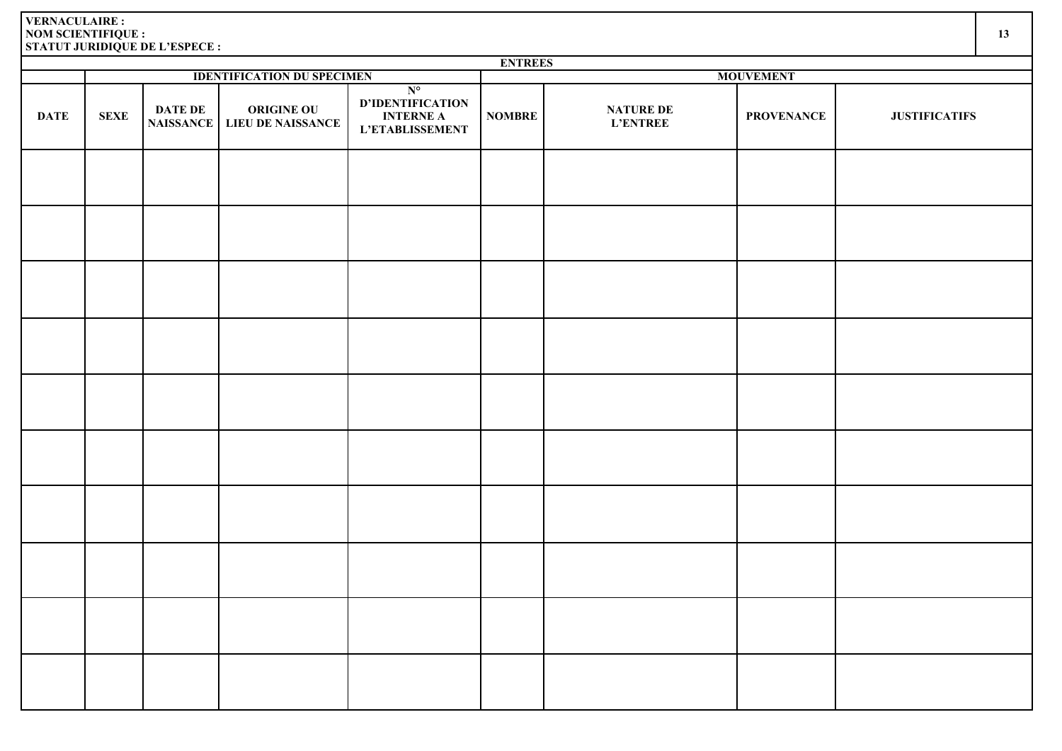|             | <b>ENTREES</b><br><b>IDENTIFICATION DU SPECIMEN</b><br><b>MOUVEMENT</b> |                             |                                        |                                                                        |               |                                     |                   |                      |  |  |  |  |  |
|-------------|-------------------------------------------------------------------------|-----------------------------|----------------------------------------|------------------------------------------------------------------------|---------------|-------------------------------------|-------------------|----------------------|--|--|--|--|--|
|             |                                                                         |                             |                                        |                                                                        |               |                                     |                   |                      |  |  |  |  |  |
| <b>DATE</b> | <b>SEXE</b>                                                             | DATE DE<br><b>NAISSANCE</b> | <b>ORIGINE OU</b><br>LIEU DE NAISSANCE | $N^{\circ}$<br>D'IDENTIFICATION<br><b>INTERNE A</b><br>L'ETABLISSEMENT | <b>NOMBRE</b> | <b>NATURE DE</b><br><b>L'ENTREE</b> | <b>PROVENANCE</b> | <b>JUSTIFICATIFS</b> |  |  |  |  |  |
|             |                                                                         |                             |                                        |                                                                        |               |                                     |                   |                      |  |  |  |  |  |
|             |                                                                         |                             |                                        |                                                                        |               |                                     |                   |                      |  |  |  |  |  |
|             |                                                                         |                             |                                        |                                                                        |               |                                     |                   |                      |  |  |  |  |  |
|             |                                                                         |                             |                                        |                                                                        |               |                                     |                   |                      |  |  |  |  |  |
|             |                                                                         |                             |                                        |                                                                        |               |                                     |                   |                      |  |  |  |  |  |
|             |                                                                         |                             |                                        |                                                                        |               |                                     |                   |                      |  |  |  |  |  |
|             |                                                                         |                             |                                        |                                                                        |               |                                     |                   |                      |  |  |  |  |  |
|             |                                                                         |                             |                                        |                                                                        |               |                                     |                   |                      |  |  |  |  |  |
|             |                                                                         |                             |                                        |                                                                        |               |                                     |                   |                      |  |  |  |  |  |
|             |                                                                         |                             |                                        |                                                                        |               |                                     |                   |                      |  |  |  |  |  |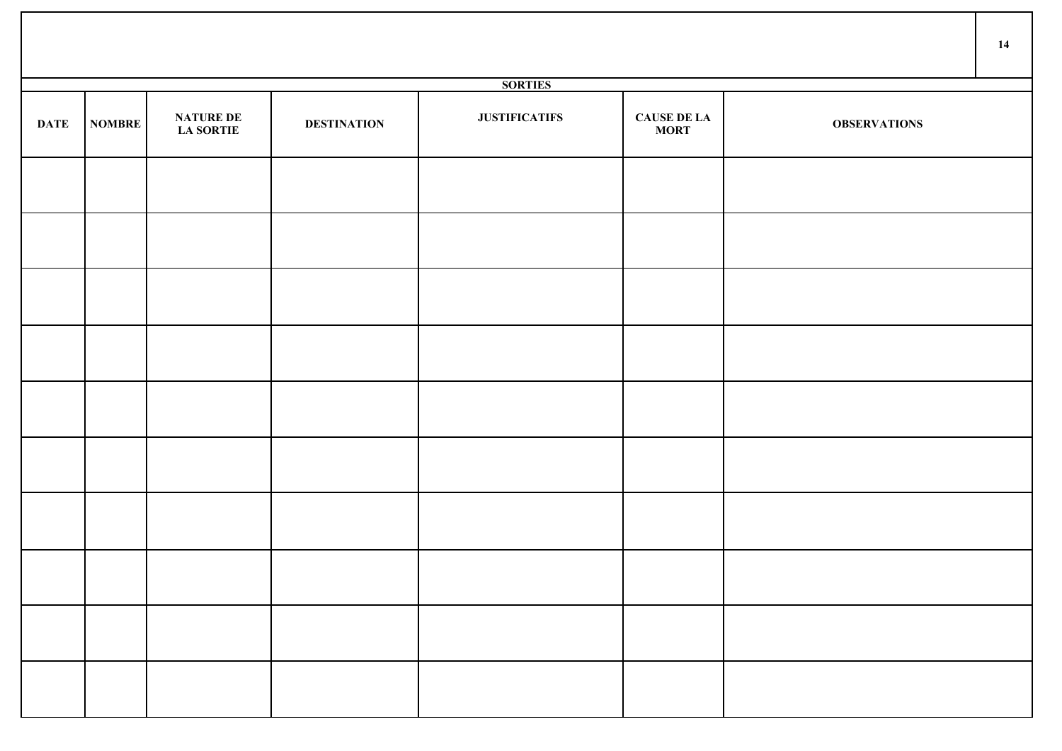|             |               |                                      |                    |                      |                                   |                     | 14 |
|-------------|---------------|--------------------------------------|--------------------|----------------------|-----------------------------------|---------------------|----|
|             |               |                                      |                    | <b>SORTIES</b>       |                                   |                     |    |
| <b>DATE</b> | <b>NOMBRE</b> | <b>NATURE DE</b><br><b>LA SORTIE</b> | <b>DESTINATION</b> | <b>JUSTIFICATIFS</b> | <b>CAUSE DE LA</b><br><b>MORT</b> | <b>OBSERVATIONS</b> |    |
|             |               |                                      |                    |                      |                                   |                     |    |
|             |               |                                      |                    |                      |                                   |                     |    |
|             |               |                                      |                    |                      |                                   |                     |    |
|             |               |                                      |                    |                      |                                   |                     |    |
|             |               |                                      |                    |                      |                                   |                     |    |
|             |               |                                      |                    |                      |                                   |                     |    |
|             |               |                                      |                    |                      |                                   |                     |    |
|             |               |                                      |                    |                      |                                   |                     |    |
|             |               |                                      |                    |                      |                                   |                     |    |
|             |               |                                      |                    |                      |                                   |                     |    |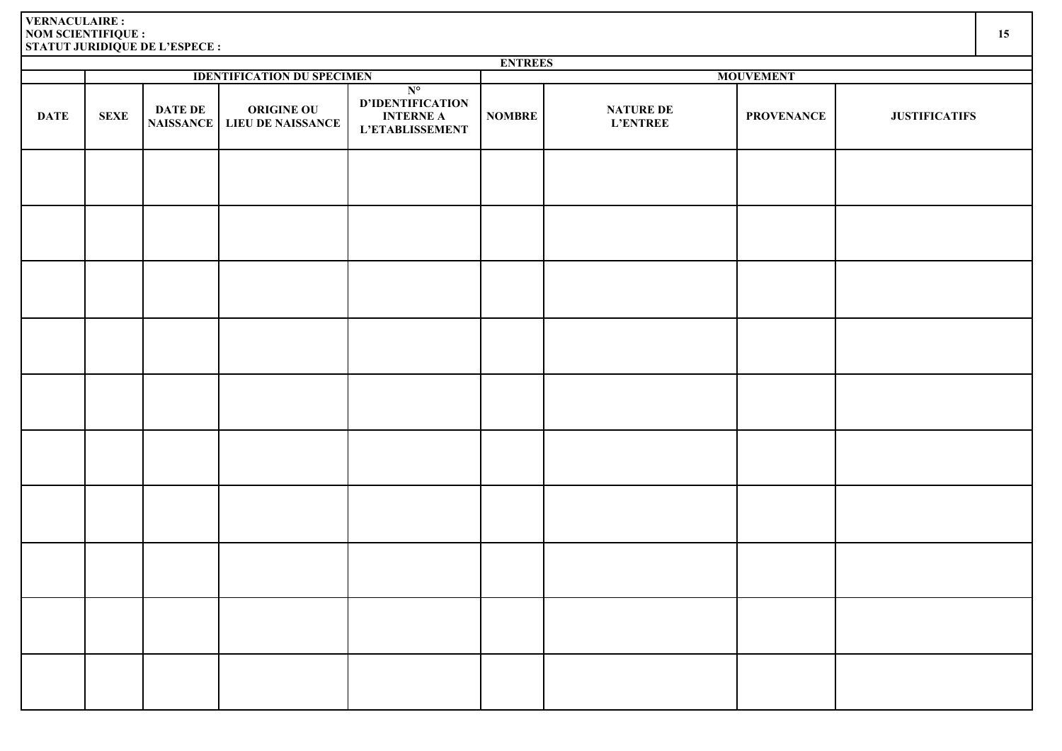|             | <b>ENTREES</b> |                                    |                                               |                                                                        |                  |                              |                   |                      |  |  |  |  |
|-------------|----------------|------------------------------------|-----------------------------------------------|------------------------------------------------------------------------|------------------|------------------------------|-------------------|----------------------|--|--|--|--|
|             |                |                                    | <b>IDENTIFICATION DU SPECIMEN</b>             |                                                                        | <b>MOUVEMENT</b> |                              |                   |                      |  |  |  |  |
| <b>DATE</b> | <b>SEXE</b>    | <b>DATE DE</b><br><b>NAISSANCE</b> | <b>ORIGINE OU</b><br><b>LIEU DE NAISSANCE</b> | $N^{\circ}$<br>D'IDENTIFICATION<br><b>INTERNE A</b><br>L'ETABLISSEMENT | <b>NOMBRE</b>    | <b>NATURE DE</b><br>L'ENTREE | <b>PROVENANCE</b> | <b>JUSTIFICATIFS</b> |  |  |  |  |
|             |                |                                    |                                               |                                                                        |                  |                              |                   |                      |  |  |  |  |
|             |                |                                    |                                               |                                                                        |                  |                              |                   |                      |  |  |  |  |
|             |                |                                    |                                               |                                                                        |                  |                              |                   |                      |  |  |  |  |
|             |                |                                    |                                               |                                                                        |                  |                              |                   |                      |  |  |  |  |
|             |                |                                    |                                               |                                                                        |                  |                              |                   |                      |  |  |  |  |
|             |                |                                    |                                               |                                                                        |                  |                              |                   |                      |  |  |  |  |
|             |                |                                    |                                               |                                                                        |                  |                              |                   |                      |  |  |  |  |
|             |                |                                    |                                               |                                                                        |                  |                              |                   |                      |  |  |  |  |
|             |                |                                    |                                               |                                                                        |                  |                              |                   |                      |  |  |  |  |
|             |                |                                    |                                               |                                                                        |                  |                              |                   |                      |  |  |  |  |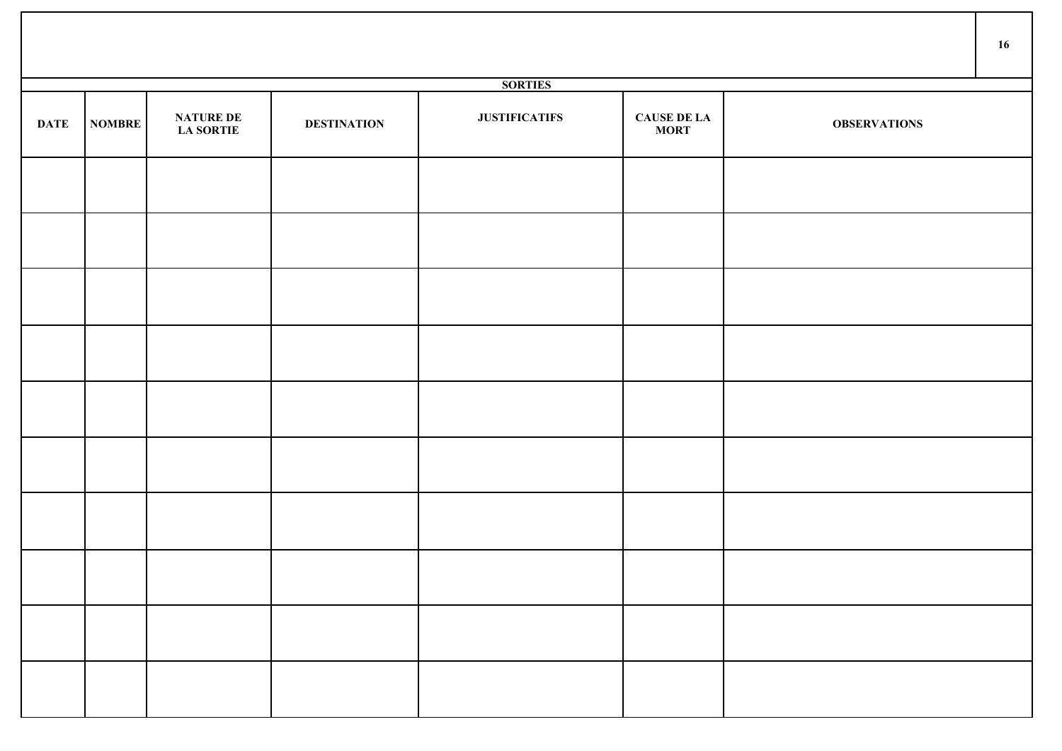|             |               |                                      |                    |                      |                                   |                     | 16 |
|-------------|---------------|--------------------------------------|--------------------|----------------------|-----------------------------------|---------------------|----|
|             |               |                                      |                    | <b>SORTIES</b>       |                                   |                     |    |
| <b>DATE</b> | <b>NOMBRE</b> | <b>NATURE DE</b><br><b>LA SORTIE</b> | <b>DESTINATION</b> | <b>JUSTIFICATIFS</b> | <b>CAUSE DE LA</b><br><b>MORT</b> | <b>OBSERVATIONS</b> |    |
|             |               |                                      |                    |                      |                                   |                     |    |
|             |               |                                      |                    |                      |                                   |                     |    |
|             |               |                                      |                    |                      |                                   |                     |    |
|             |               |                                      |                    |                      |                                   |                     |    |
|             |               |                                      |                    |                      |                                   |                     |    |
|             |               |                                      |                    |                      |                                   |                     |    |
|             |               |                                      |                    |                      |                                   |                     |    |
|             |               |                                      |                    |                      |                                   |                     |    |
|             |               |                                      |                    |                      |                                   |                     |    |
|             |               |                                      |                    |                      |                                   |                     |    |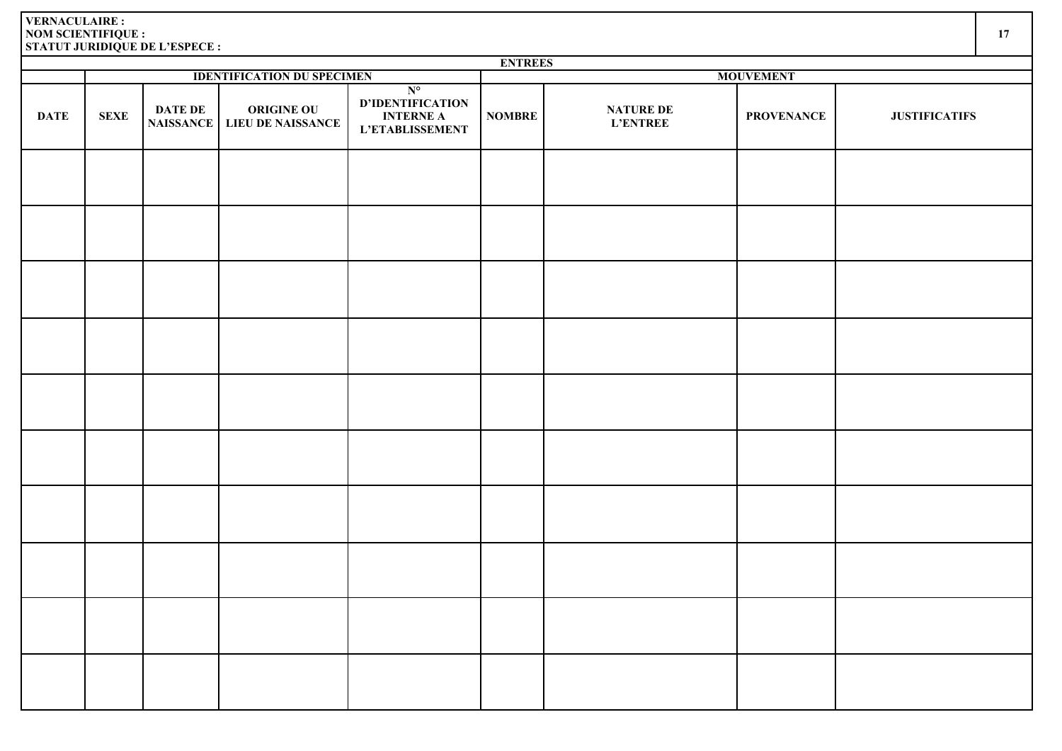|             | <b>ENTREES</b> |                                    |                                        |                                                                        |               |                                     |                   |                      |  |  |  |  |
|-------------|----------------|------------------------------------|----------------------------------------|------------------------------------------------------------------------|---------------|-------------------------------------|-------------------|----------------------|--|--|--|--|
|             |                |                                    | <b>IDENTIFICATION DU SPECIMEN</b>      |                                                                        |               |                                     | <b>MOUVEMENT</b>  |                      |  |  |  |  |
| <b>DATE</b> | <b>SEXE</b>    | <b>DATE DE</b><br><b>NAISSANCE</b> | <b>ORIGINE OU</b><br>LIEU DE NAISSANCE | $N^{\circ}$<br>D'IDENTIFICATION<br><b>INTERNE A</b><br>L'ETABLISSEMENT | <b>NOMBRE</b> | <b>NATURE DE</b><br><b>L'ENTREE</b> | <b>PROVENANCE</b> | <b>JUSTIFICATIFS</b> |  |  |  |  |
|             |                |                                    |                                        |                                                                        |               |                                     |                   |                      |  |  |  |  |
|             |                |                                    |                                        |                                                                        |               |                                     |                   |                      |  |  |  |  |
|             |                |                                    |                                        |                                                                        |               |                                     |                   |                      |  |  |  |  |
|             |                |                                    |                                        |                                                                        |               |                                     |                   |                      |  |  |  |  |
|             |                |                                    |                                        |                                                                        |               |                                     |                   |                      |  |  |  |  |
|             |                |                                    |                                        |                                                                        |               |                                     |                   |                      |  |  |  |  |
|             |                |                                    |                                        |                                                                        |               |                                     |                   |                      |  |  |  |  |
|             |                |                                    |                                        |                                                                        |               |                                     |                   |                      |  |  |  |  |
|             |                |                                    |                                        |                                                                        |               |                                     |                   |                      |  |  |  |  |
|             |                |                                    |                                        |                                                                        |               |                                     |                   |                      |  |  |  |  |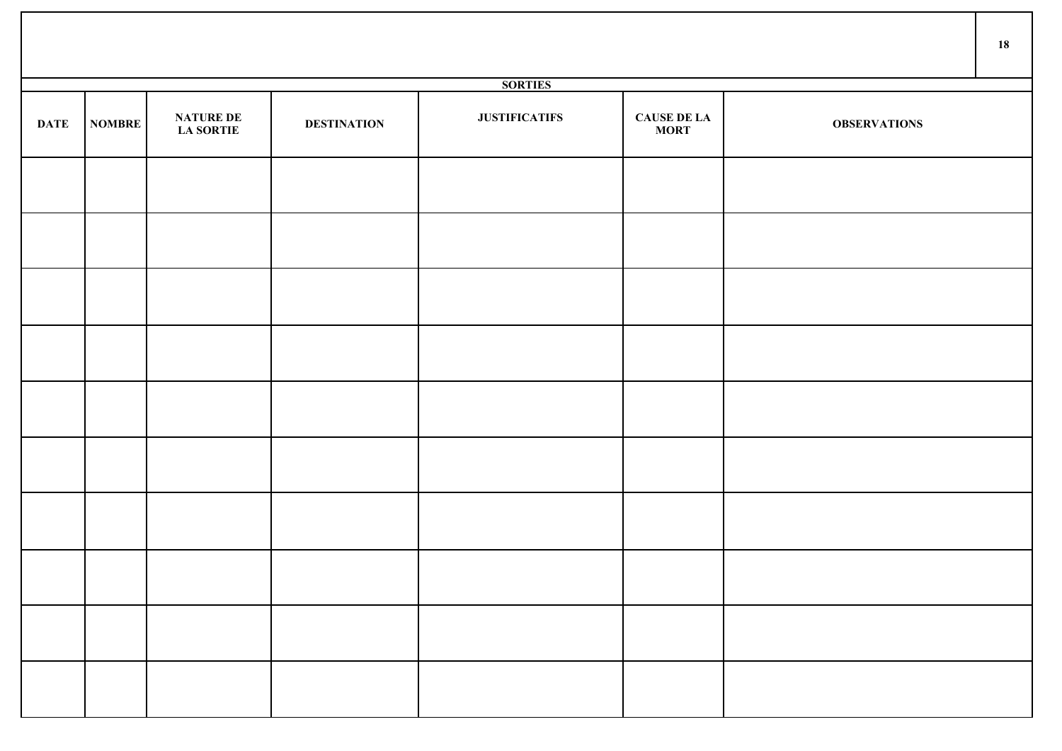|             |               |                                      |                    |                      |                                   |                     | 18 |
|-------------|---------------|--------------------------------------|--------------------|----------------------|-----------------------------------|---------------------|----|
|             |               |                                      |                    | <b>SORTIES</b>       |                                   |                     |    |
| <b>DATE</b> | <b>NOMBRE</b> | <b>NATURE DE</b><br><b>LA SORTIE</b> | <b>DESTINATION</b> | <b>JUSTIFICATIFS</b> | <b>CAUSE DE LA</b><br><b>MORT</b> | <b>OBSERVATIONS</b> |    |
|             |               |                                      |                    |                      |                                   |                     |    |
|             |               |                                      |                    |                      |                                   |                     |    |
|             |               |                                      |                    |                      |                                   |                     |    |
|             |               |                                      |                    |                      |                                   |                     |    |
|             |               |                                      |                    |                      |                                   |                     |    |
|             |               |                                      |                    |                      |                                   |                     |    |
|             |               |                                      |                    |                      |                                   |                     |    |
|             |               |                                      |                    |                      |                                   |                     |    |
|             |               |                                      |                    |                      |                                   |                     |    |
|             |               |                                      |                    |                      |                                   |                     |    |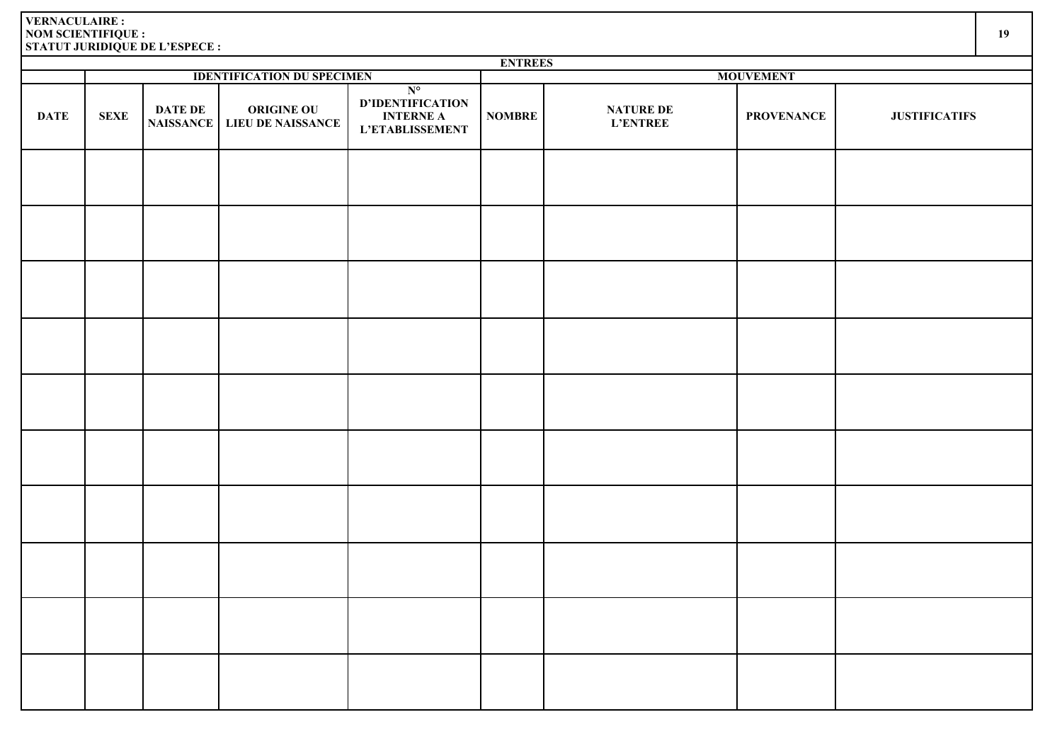|             | <b>ENTREES</b> |                              |                                        |                                                                        |                  |                                     |                   |                      |  |  |  |  |
|-------------|----------------|------------------------------|----------------------------------------|------------------------------------------------------------------------|------------------|-------------------------------------|-------------------|----------------------|--|--|--|--|
|             |                |                              | <b>IDENTIFICATION DU SPECIMEN</b>      |                                                                        | <b>MOUVEMENT</b> |                                     |                   |                      |  |  |  |  |
| <b>DATE</b> | <b>SEXE</b>    | <b>DATE DE<br/>NAISSANCE</b> | <b>ORIGINE OU</b><br>LIEU DE NAISSANCE | $N^{\circ}$<br>D'IDENTIFICATION<br><b>INTERNE A</b><br>L'ETABLISSEMENT | <b>NOMBRE</b>    | <b>NATURE DE</b><br><b>L'ENTREE</b> | <b>PROVENANCE</b> | <b>JUSTIFICATIFS</b> |  |  |  |  |
|             |                |                              |                                        |                                                                        |                  |                                     |                   |                      |  |  |  |  |
|             |                |                              |                                        |                                                                        |                  |                                     |                   |                      |  |  |  |  |
|             |                |                              |                                        |                                                                        |                  |                                     |                   |                      |  |  |  |  |
|             |                |                              |                                        |                                                                        |                  |                                     |                   |                      |  |  |  |  |
|             |                |                              |                                        |                                                                        |                  |                                     |                   |                      |  |  |  |  |
|             |                |                              |                                        |                                                                        |                  |                                     |                   |                      |  |  |  |  |
|             |                |                              |                                        |                                                                        |                  |                                     |                   |                      |  |  |  |  |
|             |                |                              |                                        |                                                                        |                  |                                     |                   |                      |  |  |  |  |
|             |                |                              |                                        |                                                                        |                  |                                     |                   |                      |  |  |  |  |
|             |                |                              |                                        |                                                                        |                  |                                     |                   |                      |  |  |  |  |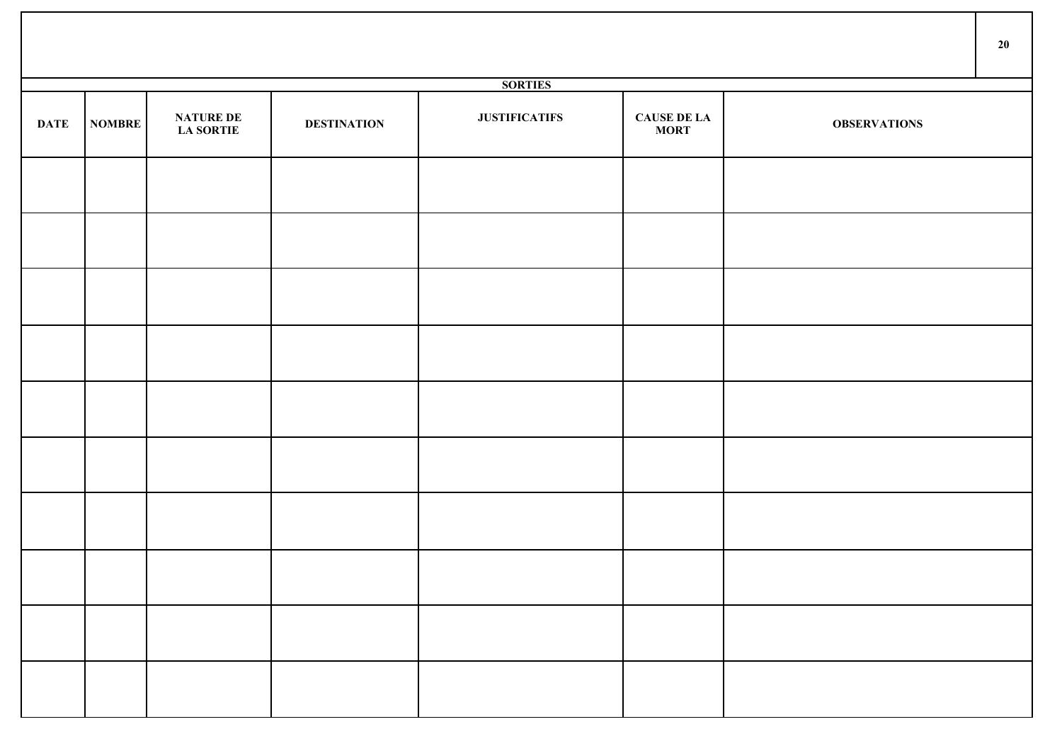|             |               |                                      |                    |                      |                                   |                     | 20 |
|-------------|---------------|--------------------------------------|--------------------|----------------------|-----------------------------------|---------------------|----|
|             |               |                                      |                    | <b>SORTIES</b>       |                                   |                     |    |
| <b>DATE</b> | <b>NOMBRE</b> | <b>NATURE DE</b><br><b>LA SORTIE</b> | <b>DESTINATION</b> | <b>JUSTIFICATIFS</b> | <b>CAUSE DE LA</b><br><b>MORT</b> | <b>OBSERVATIONS</b> |    |
|             |               |                                      |                    |                      |                                   |                     |    |
|             |               |                                      |                    |                      |                                   |                     |    |
|             |               |                                      |                    |                      |                                   |                     |    |
|             |               |                                      |                    |                      |                                   |                     |    |
|             |               |                                      |                    |                      |                                   |                     |    |
|             |               |                                      |                    |                      |                                   |                     |    |
|             |               |                                      |                    |                      |                                   |                     |    |
|             |               |                                      |                    |                      |                                   |                     |    |
|             |               |                                      |                    |                      |                                   |                     |    |
|             |               |                                      |                    |                      |                                   |                     |    |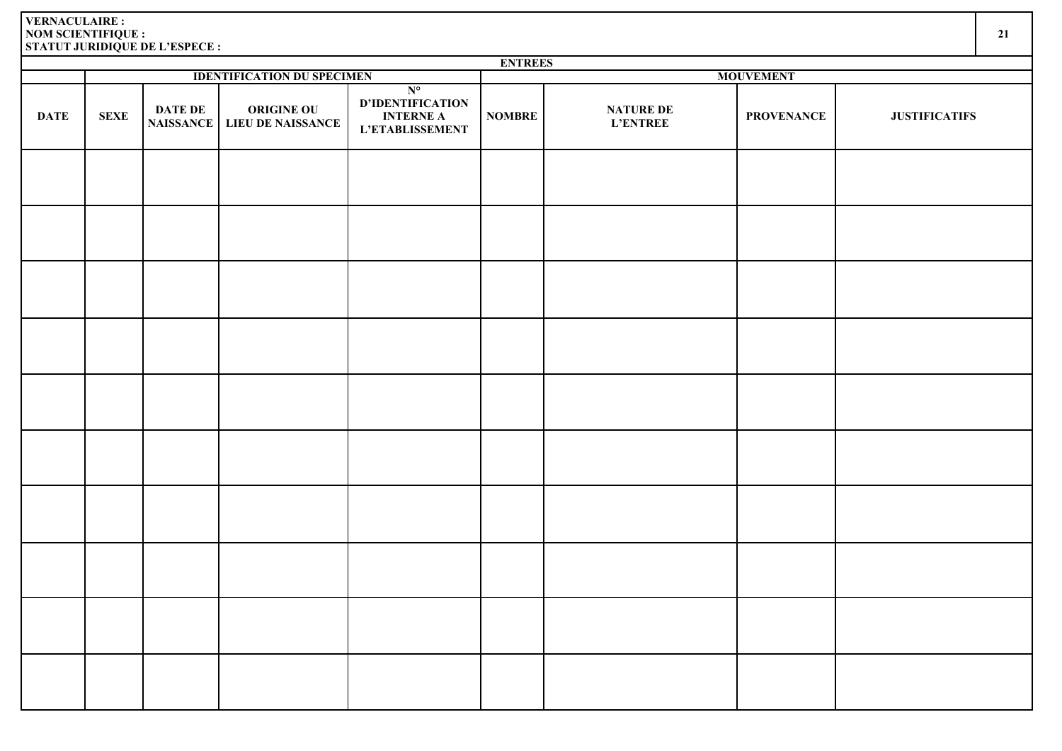|             | <b>ENTREES</b> |                                    |                                               |                                                                               |                  |                                     |                   |                      |  |  |  |  |
|-------------|----------------|------------------------------------|-----------------------------------------------|-------------------------------------------------------------------------------|------------------|-------------------------------------|-------------------|----------------------|--|--|--|--|
|             |                |                                    | <b>IDENTIFICATION DU SPECIMEN</b>             |                                                                               | <b>MOUVEMENT</b> |                                     |                   |                      |  |  |  |  |
| <b>DATE</b> | <b>SEXE</b>    | <b>DATE DE</b><br><b>NAISSANCE</b> | <b>ORIGINE OU</b><br><b>LIEU DE NAISSANCE</b> | $N^{\circ}$<br><b>D'IDENTIFICATION</b><br><b>INTERNE A</b><br>L'ETABLISSEMENT | <b>NOMBRE</b>    | <b>NATURE DE</b><br><b>L'ENTREE</b> | <b>PROVENANCE</b> | <b>JUSTIFICATIFS</b> |  |  |  |  |
|             |                |                                    |                                               |                                                                               |                  |                                     |                   |                      |  |  |  |  |
|             |                |                                    |                                               |                                                                               |                  |                                     |                   |                      |  |  |  |  |
|             |                |                                    |                                               |                                                                               |                  |                                     |                   |                      |  |  |  |  |
|             |                |                                    |                                               |                                                                               |                  |                                     |                   |                      |  |  |  |  |
|             |                |                                    |                                               |                                                                               |                  |                                     |                   |                      |  |  |  |  |
|             |                |                                    |                                               |                                                                               |                  |                                     |                   |                      |  |  |  |  |
|             |                |                                    |                                               |                                                                               |                  |                                     |                   |                      |  |  |  |  |
|             |                |                                    |                                               |                                                                               |                  |                                     |                   |                      |  |  |  |  |
|             |                |                                    |                                               |                                                                               |                  |                                     |                   |                      |  |  |  |  |
|             |                |                                    |                                               |                                                                               |                  |                                     |                   |                      |  |  |  |  |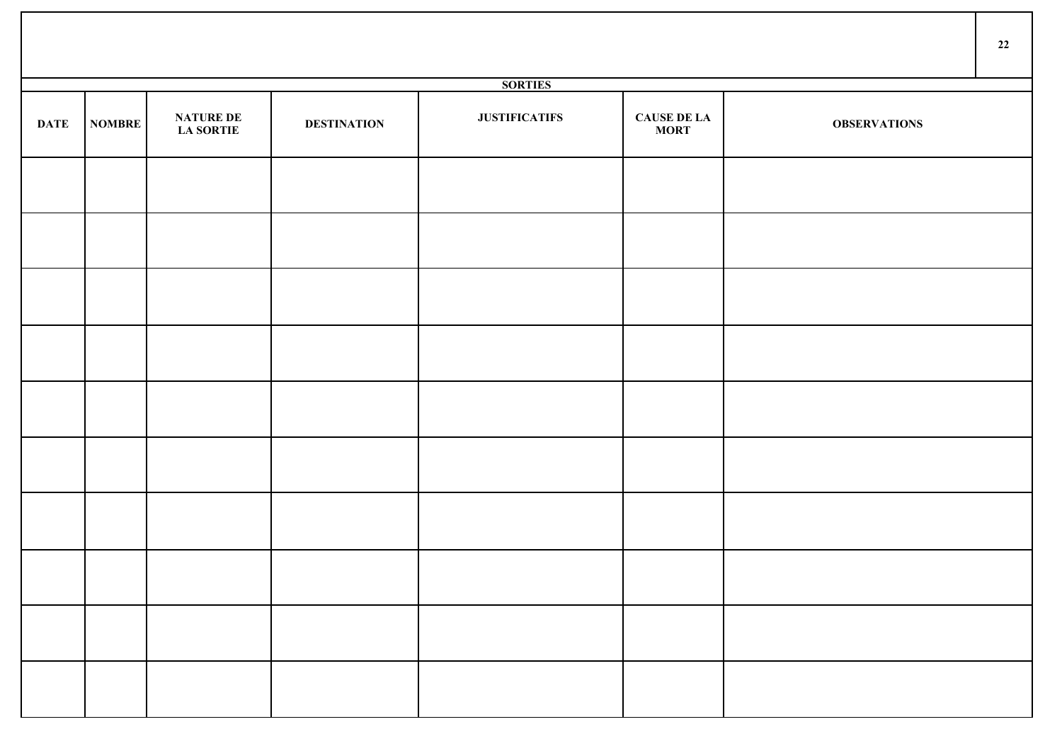|             |               |                                      |                    |                      |                             |                     | 22 |
|-------------|---------------|--------------------------------------|--------------------|----------------------|-----------------------------|---------------------|----|
|             |               |                                      |                    | <b>SORTIES</b>       |                             |                     |    |
| <b>DATE</b> | <b>NOMBRE</b> | <b>NATURE DE</b><br><b>LA SORTIE</b> | <b>DESTINATION</b> | <b>JUSTIFICATIFS</b> | <b>CAUSE DE LA<br/>MORT</b> | <b>OBSERVATIONS</b> |    |
|             |               |                                      |                    |                      |                             |                     |    |
|             |               |                                      |                    |                      |                             |                     |    |
|             |               |                                      |                    |                      |                             |                     |    |
|             |               |                                      |                    |                      |                             |                     |    |
|             |               |                                      |                    |                      |                             |                     |    |
|             |               |                                      |                    |                      |                             |                     |    |
|             |               |                                      |                    |                      |                             |                     |    |
|             |               |                                      |                    |                      |                             |                     |    |
|             |               |                                      |                    |                      |                             |                     |    |
|             |               |                                      |                    |                      |                             |                     |    |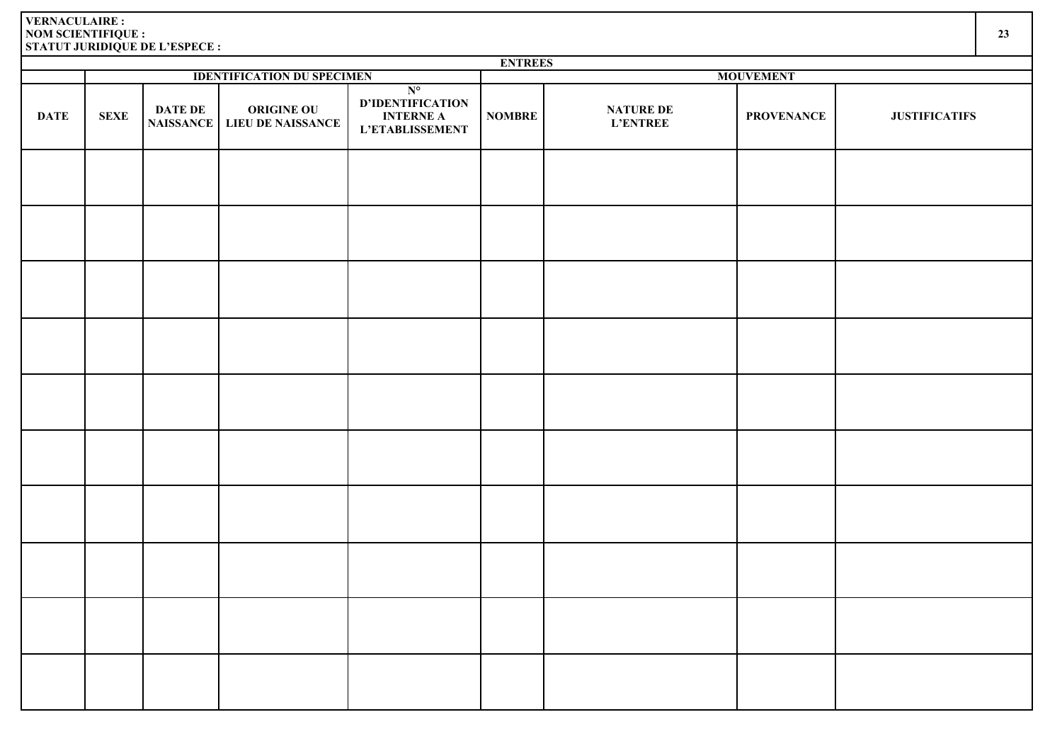|             | <b>ENTREES</b> |                                    |                                               |                                                                        |               |                                     |                   |                      |  |  |  |  |
|-------------|----------------|------------------------------------|-----------------------------------------------|------------------------------------------------------------------------|---------------|-------------------------------------|-------------------|----------------------|--|--|--|--|
|             |                |                                    | <b>IDENTIFICATION DU SPECIMEN</b>             |                                                                        |               |                                     | <b>MOUVEMENT</b>  |                      |  |  |  |  |
| <b>DATE</b> | <b>SEXE</b>    | <b>DATE DE</b><br><b>NAISSANCE</b> | <b>ORIGINE OU</b><br><b>LIEU DE NAISSANCE</b> | $N^{\circ}$<br>D'IDENTIFICATION<br><b>INTERNE A</b><br>L'ETABLISSEMENT | <b>NOMBRE</b> | <b>NATURE DE</b><br><b>L'ENTREE</b> | <b>PROVENANCE</b> | <b>JUSTIFICATIFS</b> |  |  |  |  |
|             |                |                                    |                                               |                                                                        |               |                                     |                   |                      |  |  |  |  |
|             |                |                                    |                                               |                                                                        |               |                                     |                   |                      |  |  |  |  |
|             |                |                                    |                                               |                                                                        |               |                                     |                   |                      |  |  |  |  |
|             |                |                                    |                                               |                                                                        |               |                                     |                   |                      |  |  |  |  |
|             |                |                                    |                                               |                                                                        |               |                                     |                   |                      |  |  |  |  |
|             |                |                                    |                                               |                                                                        |               |                                     |                   |                      |  |  |  |  |
|             |                |                                    |                                               |                                                                        |               |                                     |                   |                      |  |  |  |  |
|             |                |                                    |                                               |                                                                        |               |                                     |                   |                      |  |  |  |  |
|             |                |                                    |                                               |                                                                        |               |                                     |                   |                      |  |  |  |  |
|             |                |                                    |                                               |                                                                        |               |                                     |                   |                      |  |  |  |  |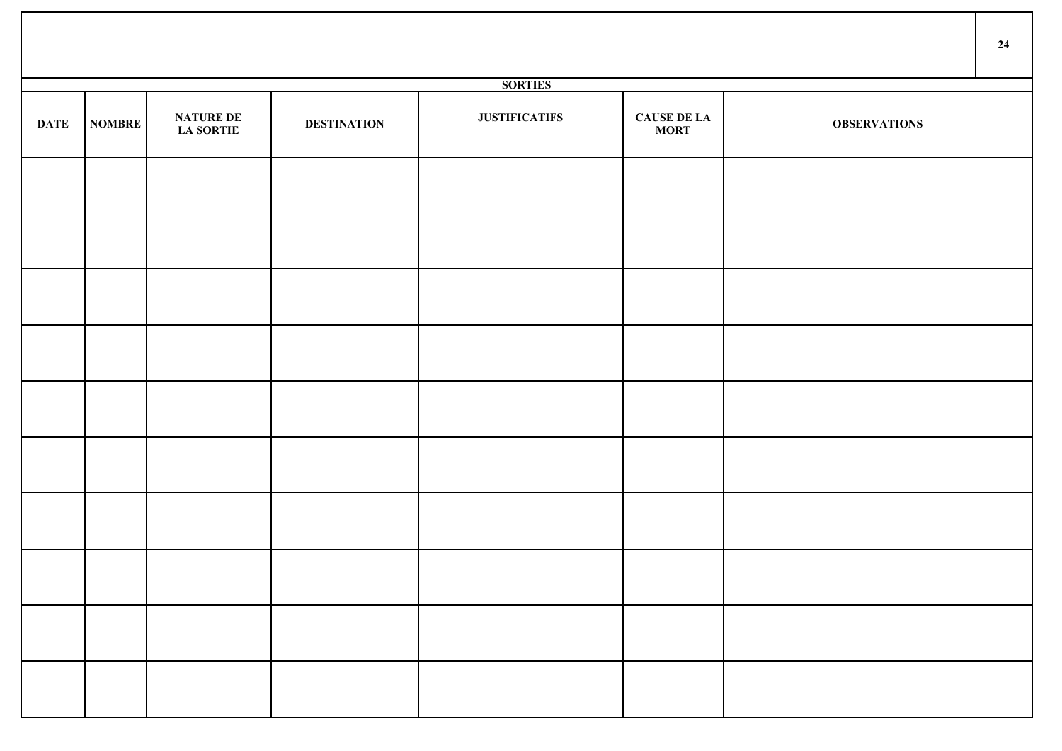|             |               |                                      |                    |                      |                                   |                     | 24 |
|-------------|---------------|--------------------------------------|--------------------|----------------------|-----------------------------------|---------------------|----|
|             |               |                                      |                    | <b>SORTIES</b>       |                                   |                     |    |
| <b>DATE</b> | <b>NOMBRE</b> | <b>NATURE DE</b><br><b>LA SORTIE</b> | <b>DESTINATION</b> | <b>JUSTIFICATIFS</b> | <b>CAUSE DE LA</b><br><b>MORT</b> | <b>OBSERVATIONS</b> |    |
|             |               |                                      |                    |                      |                                   |                     |    |
|             |               |                                      |                    |                      |                                   |                     |    |
|             |               |                                      |                    |                      |                                   |                     |    |
|             |               |                                      |                    |                      |                                   |                     |    |
|             |               |                                      |                    |                      |                                   |                     |    |
|             |               |                                      |                    |                      |                                   |                     |    |
|             |               |                                      |                    |                      |                                   |                     |    |
|             |               |                                      |                    |                      |                                   |                     |    |
|             |               |                                      |                    |                      |                                   |                     |    |
|             |               |                                      |                    |                      |                                   |                     |    |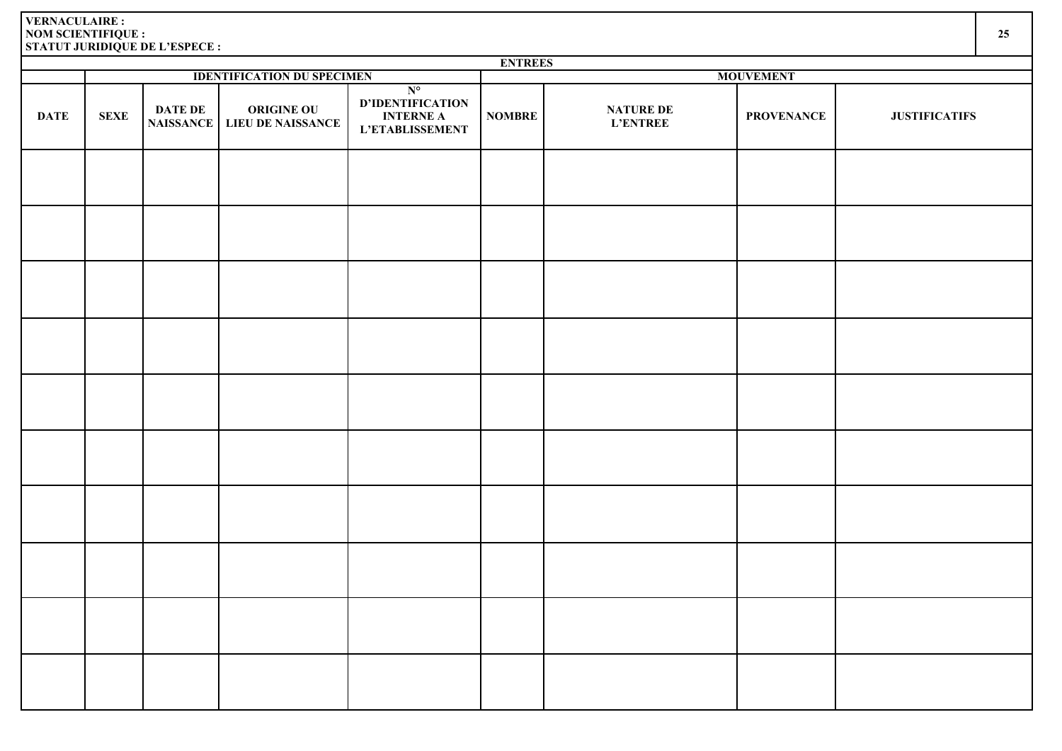|             | <b>ENTREES</b> |                             |                                        |                                                                               |               |                                     |                   |                      |  |  |
|-------------|----------------|-----------------------------|----------------------------------------|-------------------------------------------------------------------------------|---------------|-------------------------------------|-------------------|----------------------|--|--|
|             |                |                             | <b>IDENTIFICATION DU SPECIMEN</b>      |                                                                               |               |                                     | <b>MOUVEMENT</b>  |                      |  |  |
| <b>DATE</b> | <b>SEXE</b>    | DATE DE<br><b>NAISSANCE</b> | <b>ORIGINE OU</b><br>LIEU DE NAISSANCE | $N^{\circ}$<br>D'IDENTIFICATION<br><b>INTERNE A</b><br><b>L'ETABLISSEMENT</b> | <b>NOMBRE</b> | <b>NATURE DE</b><br><b>L'ENTREE</b> | <b>PROVENANCE</b> | <b>JUSTIFICATIFS</b> |  |  |
|             |                |                             |                                        |                                                                               |               |                                     |                   |                      |  |  |
|             |                |                             |                                        |                                                                               |               |                                     |                   |                      |  |  |
|             |                |                             |                                        |                                                                               |               |                                     |                   |                      |  |  |
|             |                |                             |                                        |                                                                               |               |                                     |                   |                      |  |  |
|             |                |                             |                                        |                                                                               |               |                                     |                   |                      |  |  |
|             |                |                             |                                        |                                                                               |               |                                     |                   |                      |  |  |
|             |                |                             |                                        |                                                                               |               |                                     |                   |                      |  |  |
|             |                |                             |                                        |                                                                               |               |                                     |                   |                      |  |  |
|             |                |                             |                                        |                                                                               |               |                                     |                   |                      |  |  |
|             |                |                             |                                        |                                                                               |               |                                     |                   |                      |  |  |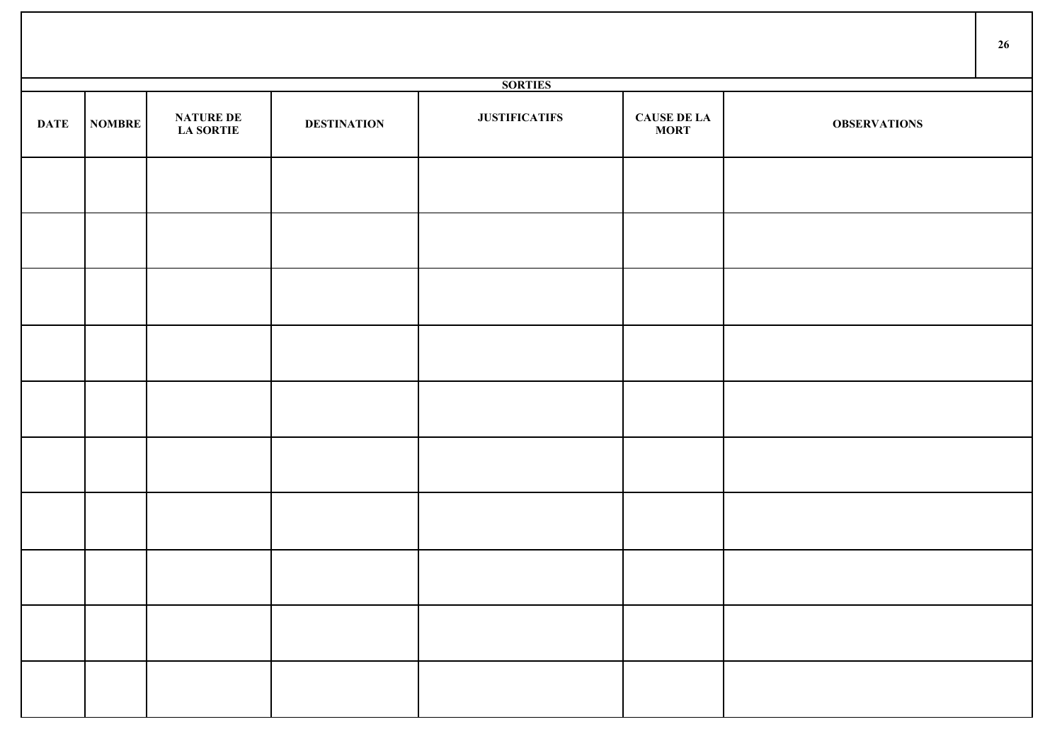|             |               |                                      |                    |                      |                                   |                     | 26 |
|-------------|---------------|--------------------------------------|--------------------|----------------------|-----------------------------------|---------------------|----|
|             |               |                                      |                    | <b>SORTIES</b>       |                                   |                     |    |
| <b>DATE</b> | <b>NOMBRE</b> | <b>NATURE DE</b><br><b>LA SORTIE</b> | <b>DESTINATION</b> | <b>JUSTIFICATIFS</b> | <b>CAUSE DE LA</b><br><b>MORT</b> | <b>OBSERVATIONS</b> |    |
|             |               |                                      |                    |                      |                                   |                     |    |
|             |               |                                      |                    |                      |                                   |                     |    |
|             |               |                                      |                    |                      |                                   |                     |    |
|             |               |                                      |                    |                      |                                   |                     |    |
|             |               |                                      |                    |                      |                                   |                     |    |
|             |               |                                      |                    |                      |                                   |                     |    |
|             |               |                                      |                    |                      |                                   |                     |    |
|             |               |                                      |                    |                      |                                   |                     |    |
|             |               |                                      |                    |                      |                                   |                     |    |
|             |               |                                      |                    |                      |                                   |                     |    |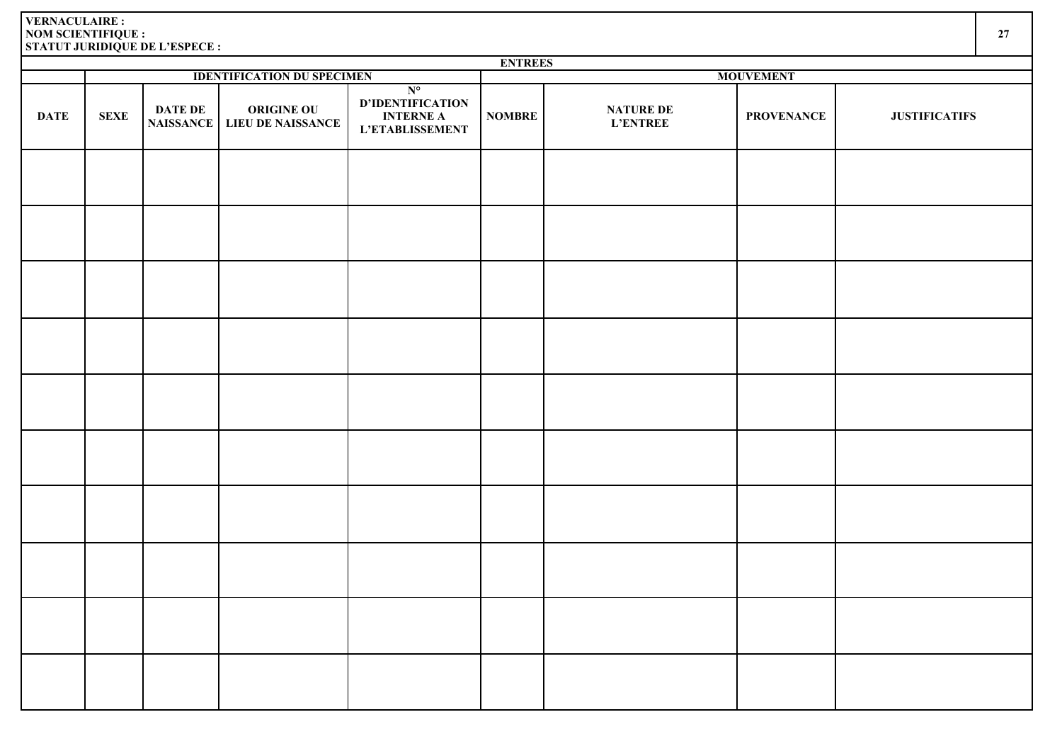|  | ۰, |
|--|----|
|  |    |

|             | <b>ENTREES</b><br><b>IDENTIFICATION DU SPECIMEN</b> |                             |                                               |                                                                         |                  |                                     |                   |                      |  |  |  |
|-------------|-----------------------------------------------------|-----------------------------|-----------------------------------------------|-------------------------------------------------------------------------|------------------|-------------------------------------|-------------------|----------------------|--|--|--|
|             |                                                     |                             |                                               |                                                                         | <b>MOUVEMENT</b> |                                     |                   |                      |  |  |  |
| <b>DATE</b> | <b>SEXE</b>                                         | DATE DE<br><b>NAISSANCE</b> | <b>ORIGINE OU</b><br><b>LIEU DE NAISSANCE</b> | $N^{\circ}$<br><b>D'IDENTIFICATION<br/>INTERNE A</b><br>L'ETABLISSEMENT | <b>NOMBRE</b>    | <b>NATURE DE</b><br><b>L'ENTREE</b> | <b>PROVENANCE</b> | <b>JUSTIFICATIFS</b> |  |  |  |
|             |                                                     |                             |                                               |                                                                         |                  |                                     |                   |                      |  |  |  |
|             |                                                     |                             |                                               |                                                                         |                  |                                     |                   |                      |  |  |  |
|             |                                                     |                             |                                               |                                                                         |                  |                                     |                   |                      |  |  |  |
|             |                                                     |                             |                                               |                                                                         |                  |                                     |                   |                      |  |  |  |
|             |                                                     |                             |                                               |                                                                         |                  |                                     |                   |                      |  |  |  |
|             |                                                     |                             |                                               |                                                                         |                  |                                     |                   |                      |  |  |  |
|             |                                                     |                             |                                               |                                                                         |                  |                                     |                   |                      |  |  |  |
|             |                                                     |                             |                                               |                                                                         |                  |                                     |                   |                      |  |  |  |
|             |                                                     |                             |                                               |                                                                         |                  |                                     |                   |                      |  |  |  |
|             |                                                     |                             |                                               |                                                                         |                  |                                     |                   |                      |  |  |  |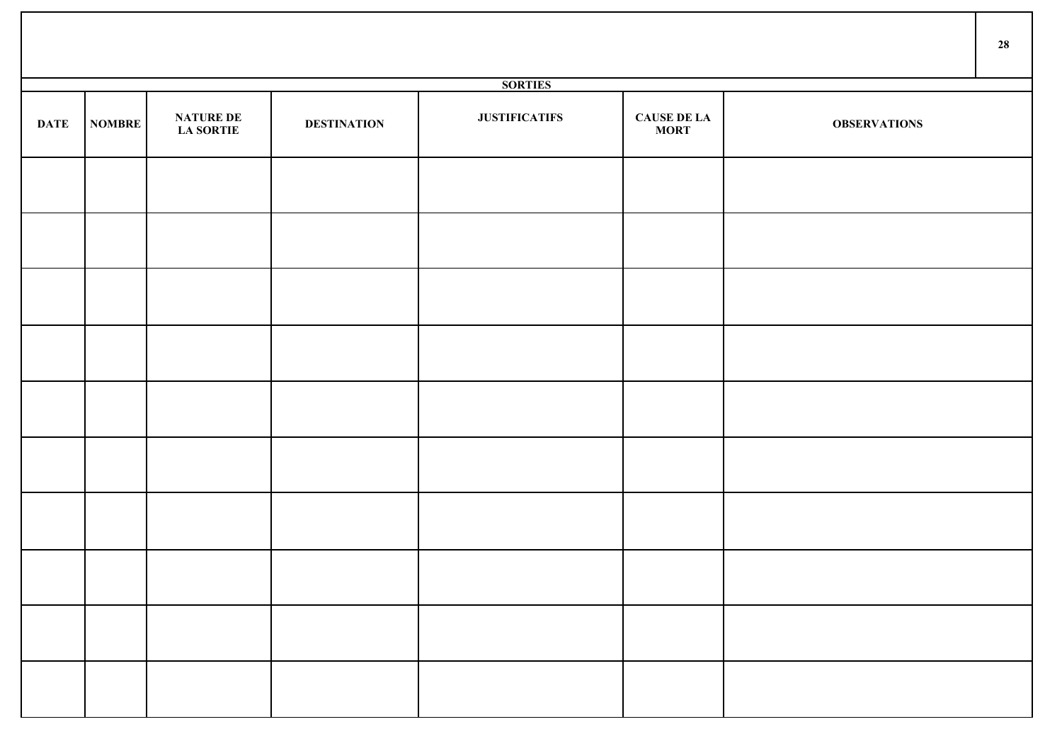|             |               |                                      |                    |                      |                                   |                     | 28 |
|-------------|---------------|--------------------------------------|--------------------|----------------------|-----------------------------------|---------------------|----|
|             |               |                                      |                    | <b>SORTIES</b>       |                                   |                     |    |
| <b>DATE</b> | <b>NOMBRE</b> | <b>NATURE DE</b><br><b>LA SORTIE</b> | <b>DESTINATION</b> | <b>JUSTIFICATIFS</b> | <b>CAUSE DE LA</b><br><b>MORT</b> | <b>OBSERVATIONS</b> |    |
|             |               |                                      |                    |                      |                                   |                     |    |
|             |               |                                      |                    |                      |                                   |                     |    |
|             |               |                                      |                    |                      |                                   |                     |    |
|             |               |                                      |                    |                      |                                   |                     |    |
|             |               |                                      |                    |                      |                                   |                     |    |
|             |               |                                      |                    |                      |                                   |                     |    |
|             |               |                                      |                    |                      |                                   |                     |    |
|             |               |                                      |                    |                      |                                   |                     |    |
|             |               |                                      |                    |                      |                                   |                     |    |
|             |               |                                      |                    |                      |                                   |                     |    |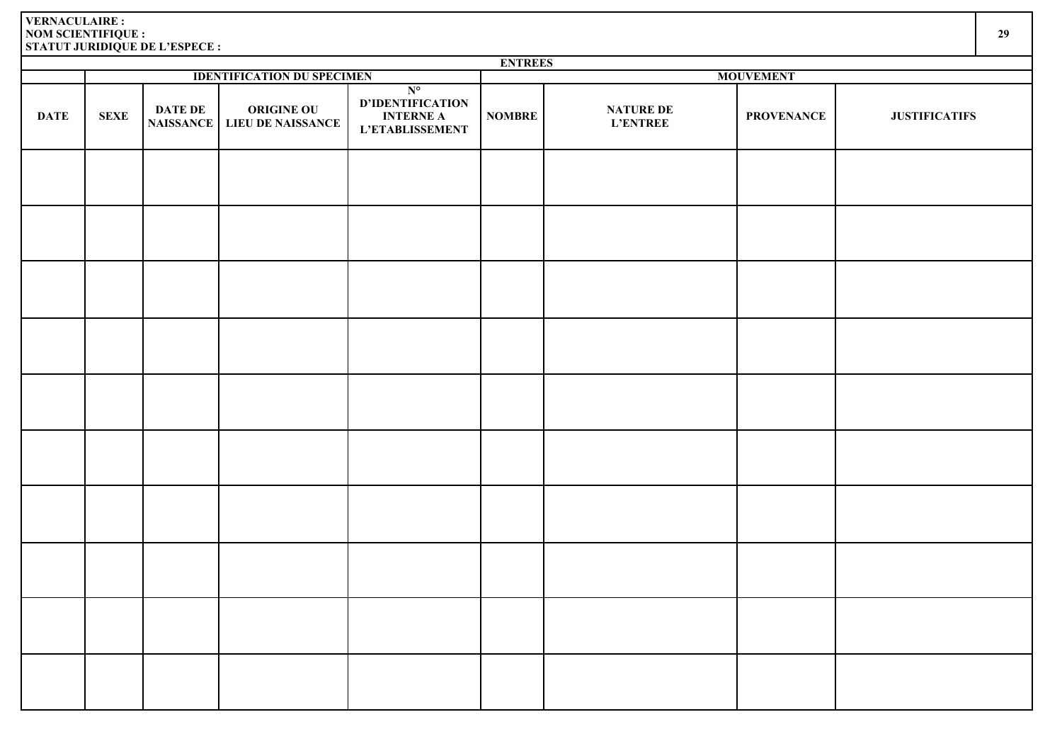|             | <b>ENTREES</b> |                                    |                                               |                                                                        |               |                                     |                   |                      |  |  |
|-------------|----------------|------------------------------------|-----------------------------------------------|------------------------------------------------------------------------|---------------|-------------------------------------|-------------------|----------------------|--|--|
|             |                |                                    | <b>IDENTIFICATION DU SPECIMEN</b>             |                                                                        |               |                                     | <b>MOUVEMENT</b>  |                      |  |  |
| <b>DATE</b> | <b>SEXE</b>    | <b>DATE DE</b><br><b>NAISSANCE</b> | <b>ORIGINE OU</b><br><b>LIEU DE NAISSANCE</b> | $N^{\circ}$<br>D'IDENTIFICATION<br><b>INTERNE A</b><br>L'ETABLISSEMENT | <b>NOMBRE</b> | <b>NATURE DE</b><br><b>L'ENTREE</b> | <b>PROVENANCE</b> | <b>JUSTIFICATIFS</b> |  |  |
|             |                |                                    |                                               |                                                                        |               |                                     |                   |                      |  |  |
|             |                |                                    |                                               |                                                                        |               |                                     |                   |                      |  |  |
|             |                |                                    |                                               |                                                                        |               |                                     |                   |                      |  |  |
|             |                |                                    |                                               |                                                                        |               |                                     |                   |                      |  |  |
|             |                |                                    |                                               |                                                                        |               |                                     |                   |                      |  |  |
|             |                |                                    |                                               |                                                                        |               |                                     |                   |                      |  |  |
|             |                |                                    |                                               |                                                                        |               |                                     |                   |                      |  |  |
|             |                |                                    |                                               |                                                                        |               |                                     |                   |                      |  |  |
|             |                |                                    |                                               |                                                                        |               |                                     |                   |                      |  |  |
|             |                |                                    |                                               |                                                                        |               |                                     |                   |                      |  |  |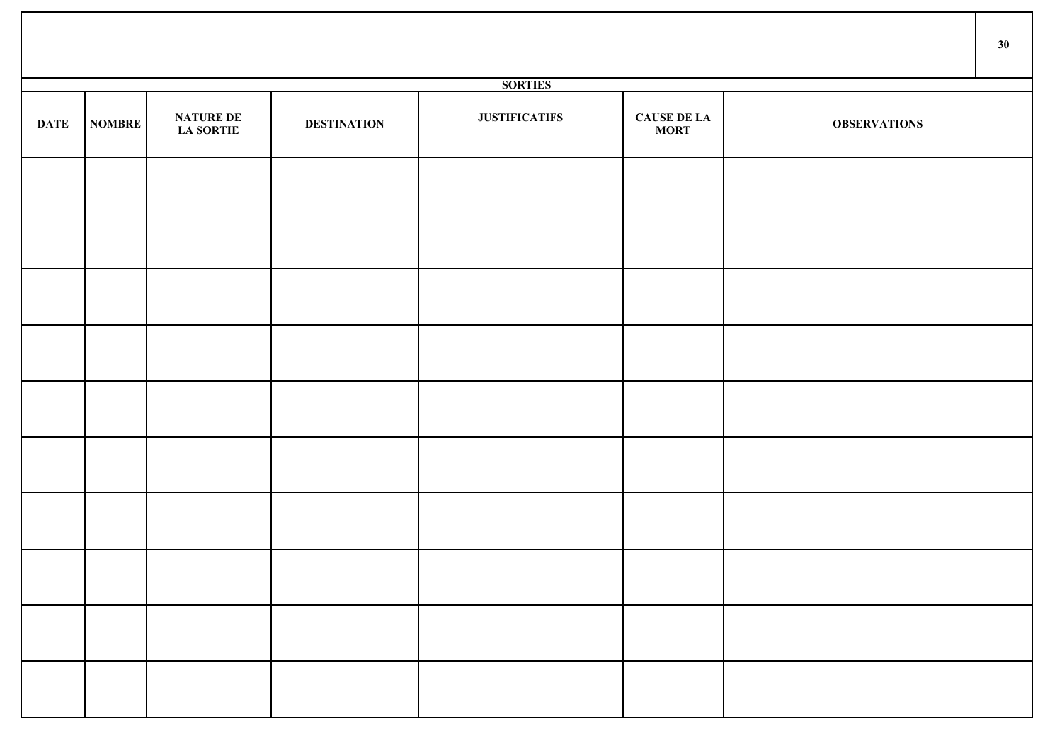|             |               |                                      |                    |                      |                                   |                     | 30 |
|-------------|---------------|--------------------------------------|--------------------|----------------------|-----------------------------------|---------------------|----|
|             |               |                                      |                    | <b>SORTIES</b>       |                                   |                     |    |
| <b>DATE</b> | <b>NOMBRE</b> | <b>NATURE DE</b><br><b>LA SORTIE</b> | <b>DESTINATION</b> | <b>JUSTIFICATIFS</b> | <b>CAUSE DE LA</b><br><b>MORT</b> | <b>OBSERVATIONS</b> |    |
|             |               |                                      |                    |                      |                                   |                     |    |
|             |               |                                      |                    |                      |                                   |                     |    |
|             |               |                                      |                    |                      |                                   |                     |    |
|             |               |                                      |                    |                      |                                   |                     |    |
|             |               |                                      |                    |                      |                                   |                     |    |
|             |               |                                      |                    |                      |                                   |                     |    |
|             |               |                                      |                    |                      |                                   |                     |    |
|             |               |                                      |                    |                      |                                   |                     |    |
|             |               |                                      |                    |                      |                                   |                     |    |
|             |               |                                      |                    |                      |                                   |                     |    |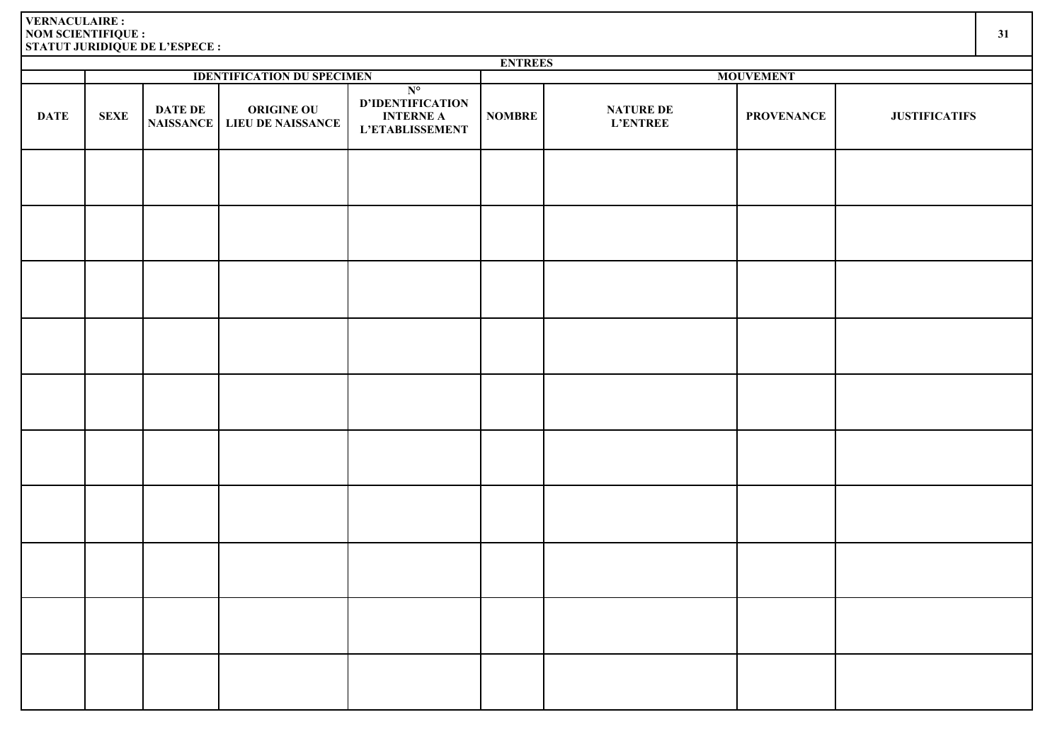|             | <b>ENTREES</b> |                                    |                                               |                                                                               |               |                                     |                   |                      |  |  |  |
|-------------|----------------|------------------------------------|-----------------------------------------------|-------------------------------------------------------------------------------|---------------|-------------------------------------|-------------------|----------------------|--|--|--|
|             |                |                                    | <b>IDENTIFICATION DU SPECIMEN</b>             |                                                                               |               |                                     | <b>MOUVEMENT</b>  |                      |  |  |  |
| <b>DATE</b> | <b>SEXE</b>    | <b>DATE DE</b><br><b>NAISSANCE</b> | <b>ORIGINE OU</b><br><b>LIEU DE NAISSANCE</b> | $N^{\circ}$<br>D'IDENTIFICATION<br><b>INTERNE A</b><br><b>L'ETABLISSEMENT</b> | <b>NOMBRE</b> | <b>NATURE DE</b><br><b>L'ENTREE</b> | <b>PROVENANCE</b> | <b>JUSTIFICATIFS</b> |  |  |  |
|             |                |                                    |                                               |                                                                               |               |                                     |                   |                      |  |  |  |
|             |                |                                    |                                               |                                                                               |               |                                     |                   |                      |  |  |  |
|             |                |                                    |                                               |                                                                               |               |                                     |                   |                      |  |  |  |
|             |                |                                    |                                               |                                                                               |               |                                     |                   |                      |  |  |  |
|             |                |                                    |                                               |                                                                               |               |                                     |                   |                      |  |  |  |
|             |                |                                    |                                               |                                                                               |               |                                     |                   |                      |  |  |  |
|             |                |                                    |                                               |                                                                               |               |                                     |                   |                      |  |  |  |
|             |                |                                    |                                               |                                                                               |               |                                     |                   |                      |  |  |  |
|             |                |                                    |                                               |                                                                               |               |                                     |                   |                      |  |  |  |
|             |                |                                    |                                               |                                                                               |               |                                     |                   |                      |  |  |  |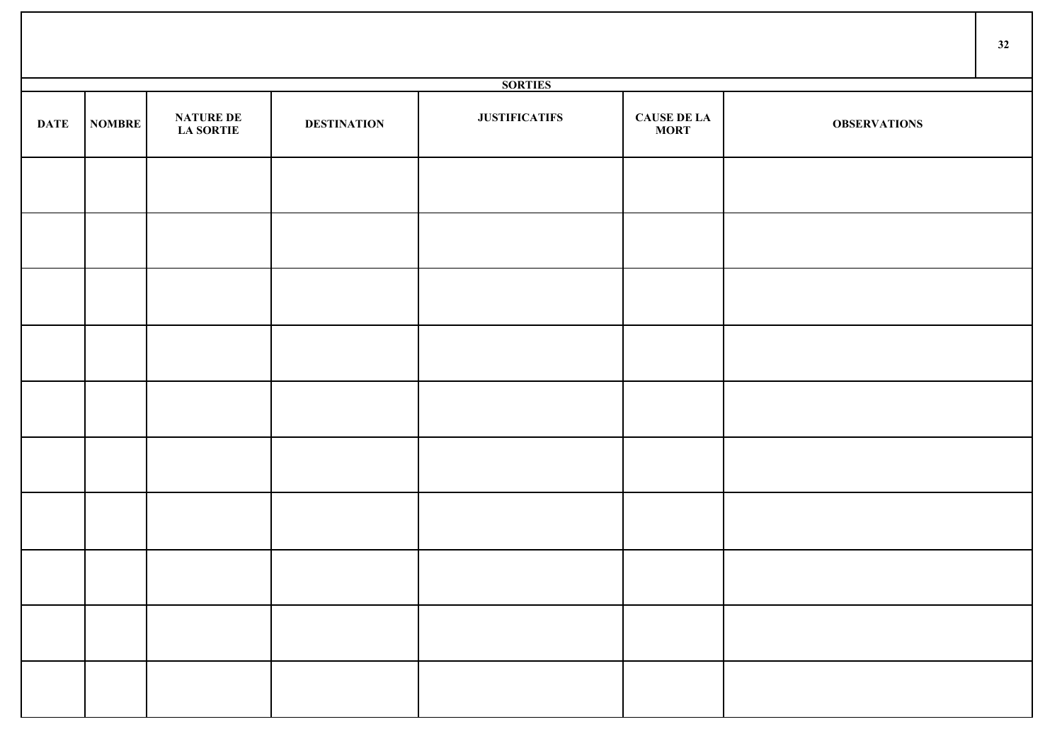|             |               |                                      |                    |                      |                                   |                     | 32 |
|-------------|---------------|--------------------------------------|--------------------|----------------------|-----------------------------------|---------------------|----|
|             |               |                                      |                    | <b>SORTIES</b>       |                                   |                     |    |
| <b>DATE</b> | <b>NOMBRE</b> | <b>NATURE DE</b><br><b>LA SORTIE</b> | <b>DESTINATION</b> | <b>JUSTIFICATIFS</b> | <b>CAUSE DE LA</b><br><b>MORT</b> | <b>OBSERVATIONS</b> |    |
|             |               |                                      |                    |                      |                                   |                     |    |
|             |               |                                      |                    |                      |                                   |                     |    |
|             |               |                                      |                    |                      |                                   |                     |    |
|             |               |                                      |                    |                      |                                   |                     |    |
|             |               |                                      |                    |                      |                                   |                     |    |
|             |               |                                      |                    |                      |                                   |                     |    |
|             |               |                                      |                    |                      |                                   |                     |    |
|             |               |                                      |                    |                      |                                   |                     |    |
|             |               |                                      |                    |                      |                                   |                     |    |
|             |               |                                      |                    |                      |                                   |                     |    |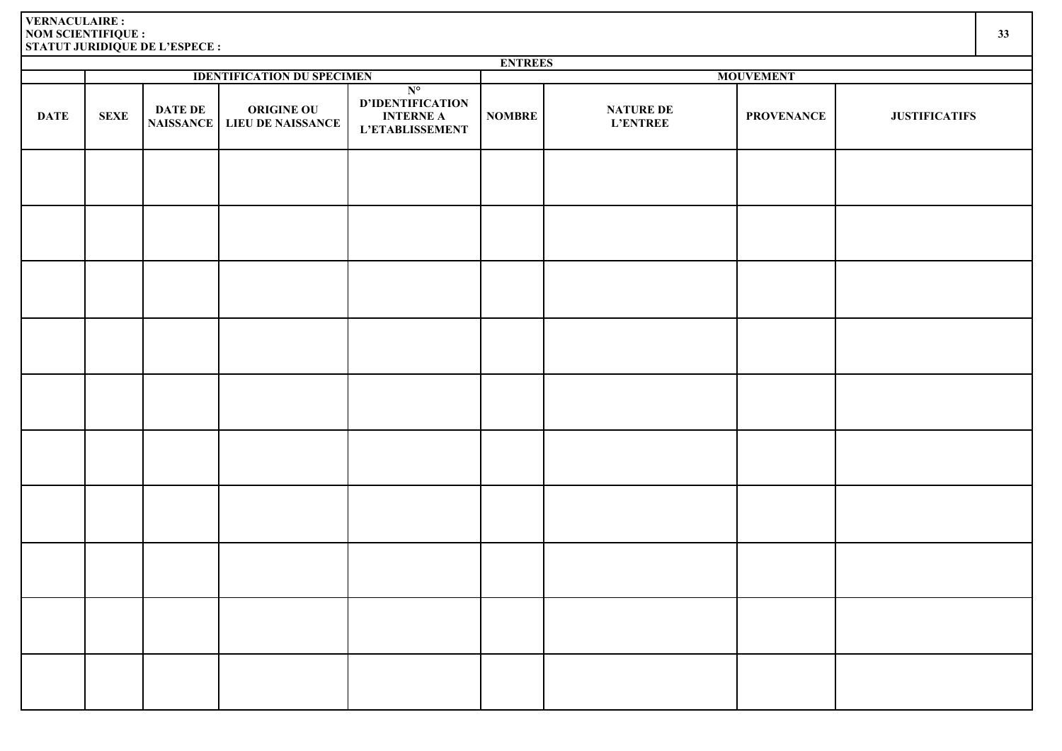|             | <b>ENTREES</b> |                |                                                    |                                                                               |               |                                     |                   |                      |  |  |
|-------------|----------------|----------------|----------------------------------------------------|-------------------------------------------------------------------------------|---------------|-------------------------------------|-------------------|----------------------|--|--|
|             |                |                | <b>IDENTIFICATION DU SPECIMEN</b>                  |                                                                               |               |                                     | <b>MOUVEMENT</b>  |                      |  |  |
| <b>DATE</b> | <b>SEXE</b>    | <b>DATE DE</b> | <b>ORIGINE OU</b><br>NAISSANCE   LIEU DE NAISSANCE | $N^{\circ}$<br>D'IDENTIFICATION<br><b>INTERNE A</b><br><b>L'ETABLISSEMENT</b> | <b>NOMBRE</b> | <b>NATURE DE</b><br><b>L'ENTREE</b> | <b>PROVENANCE</b> | <b>JUSTIFICATIFS</b> |  |  |
|             |                |                |                                                    |                                                                               |               |                                     |                   |                      |  |  |
|             |                |                |                                                    |                                                                               |               |                                     |                   |                      |  |  |
|             |                |                |                                                    |                                                                               |               |                                     |                   |                      |  |  |
|             |                |                |                                                    |                                                                               |               |                                     |                   |                      |  |  |
|             |                |                |                                                    |                                                                               |               |                                     |                   |                      |  |  |
|             |                |                |                                                    |                                                                               |               |                                     |                   |                      |  |  |
|             |                |                |                                                    |                                                                               |               |                                     |                   |                      |  |  |
|             |                |                |                                                    |                                                                               |               |                                     |                   |                      |  |  |
|             |                |                |                                                    |                                                                               |               |                                     |                   |                      |  |  |
|             |                |                |                                                    |                                                                               |               |                                     |                   |                      |  |  |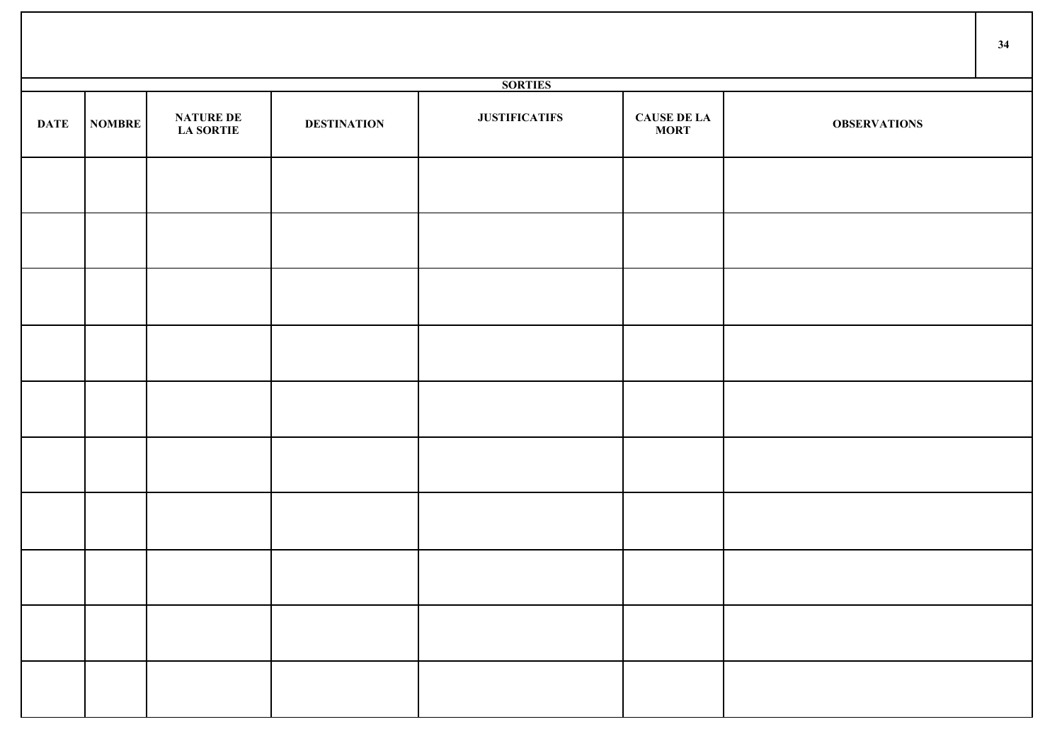|             |               |                                      |                    |                      |                                   |                     | 34 |
|-------------|---------------|--------------------------------------|--------------------|----------------------|-----------------------------------|---------------------|----|
|             |               |                                      |                    | <b>SORTIES</b>       |                                   |                     |    |
| <b>DATE</b> | <b>NOMBRE</b> | <b>NATURE DE</b><br><b>LA SORTIE</b> | <b>DESTINATION</b> | <b>JUSTIFICATIFS</b> | <b>CAUSE DE LA</b><br><b>MORT</b> | <b>OBSERVATIONS</b> |    |
|             |               |                                      |                    |                      |                                   |                     |    |
|             |               |                                      |                    |                      |                                   |                     |    |
|             |               |                                      |                    |                      |                                   |                     |    |
|             |               |                                      |                    |                      |                                   |                     |    |
|             |               |                                      |                    |                      |                                   |                     |    |
|             |               |                                      |                    |                      |                                   |                     |    |
|             |               |                                      |                    |                      |                                   |                     |    |
|             |               |                                      |                    |                      |                                   |                     |    |
|             |               |                                      |                    |                      |                                   |                     |    |
|             |               |                                      |                    |                      |                                   |                     |    |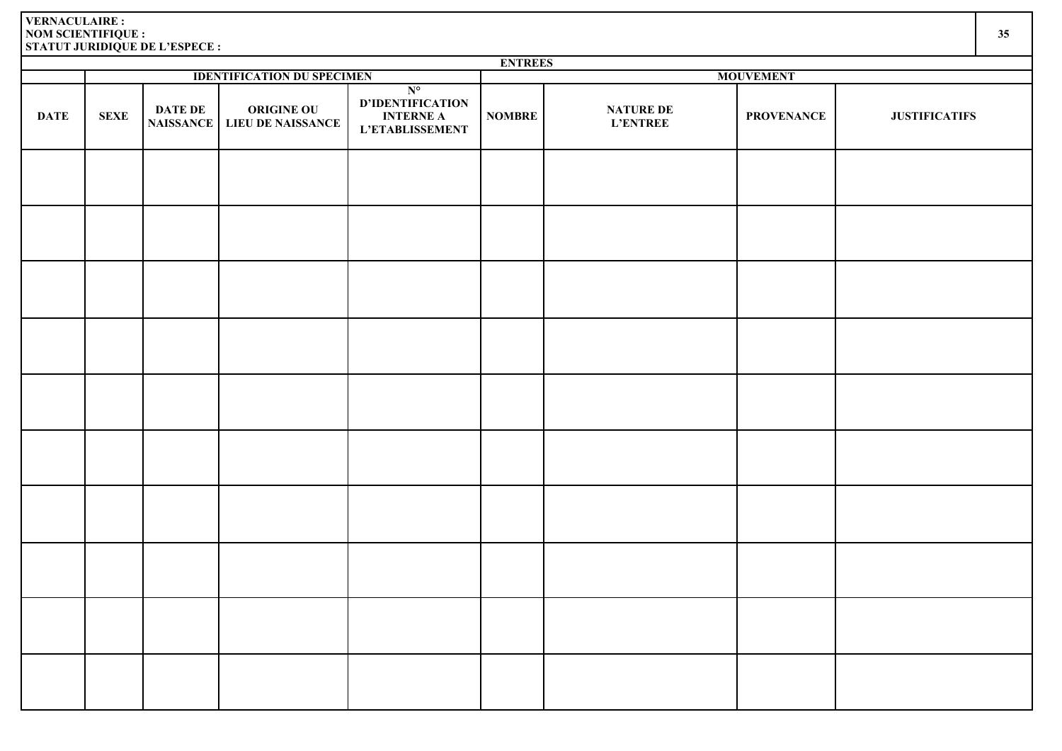| I<br>۰.<br>v<br>× | i<br>×<br>v |
|-------------------|-------------|

|             |             |                                    |                                               |                                                                        | <b>ENTREES</b><br><b>MOUVEMENT</b> |                                     |                   |                      |  |  |
|-------------|-------------|------------------------------------|-----------------------------------------------|------------------------------------------------------------------------|------------------------------------|-------------------------------------|-------------------|----------------------|--|--|
|             |             |                                    | <b>IDENTIFICATION DU SPECIMEN</b>             |                                                                        |                                    |                                     |                   |                      |  |  |
| <b>DATE</b> | <b>SEXE</b> | <b>DATE DE</b><br><b>NAISSANCE</b> | <b>ORIGINE OU</b><br><b>LIEU DE NAISSANCE</b> | $N^{\circ}$<br>D'IDENTIFICATION<br><b>INTERNE A</b><br>L'ETABLISSEMENT | <b>NOMBRE</b>                      | <b>NATURE DE</b><br><b>L'ENTREE</b> | <b>PROVENANCE</b> | <b>JUSTIFICATIFS</b> |  |  |
|             |             |                                    |                                               |                                                                        |                                    |                                     |                   |                      |  |  |
|             |             |                                    |                                               |                                                                        |                                    |                                     |                   |                      |  |  |
|             |             |                                    |                                               |                                                                        |                                    |                                     |                   |                      |  |  |
|             |             |                                    |                                               |                                                                        |                                    |                                     |                   |                      |  |  |
|             |             |                                    |                                               |                                                                        |                                    |                                     |                   |                      |  |  |
|             |             |                                    |                                               |                                                                        |                                    |                                     |                   |                      |  |  |
|             |             |                                    |                                               |                                                                        |                                    |                                     |                   |                      |  |  |
|             |             |                                    |                                               |                                                                        |                                    |                                     |                   |                      |  |  |
|             |             |                                    |                                               |                                                                        |                                    |                                     |                   |                      |  |  |
|             |             |                                    |                                               |                                                                        |                                    |                                     |                   |                      |  |  |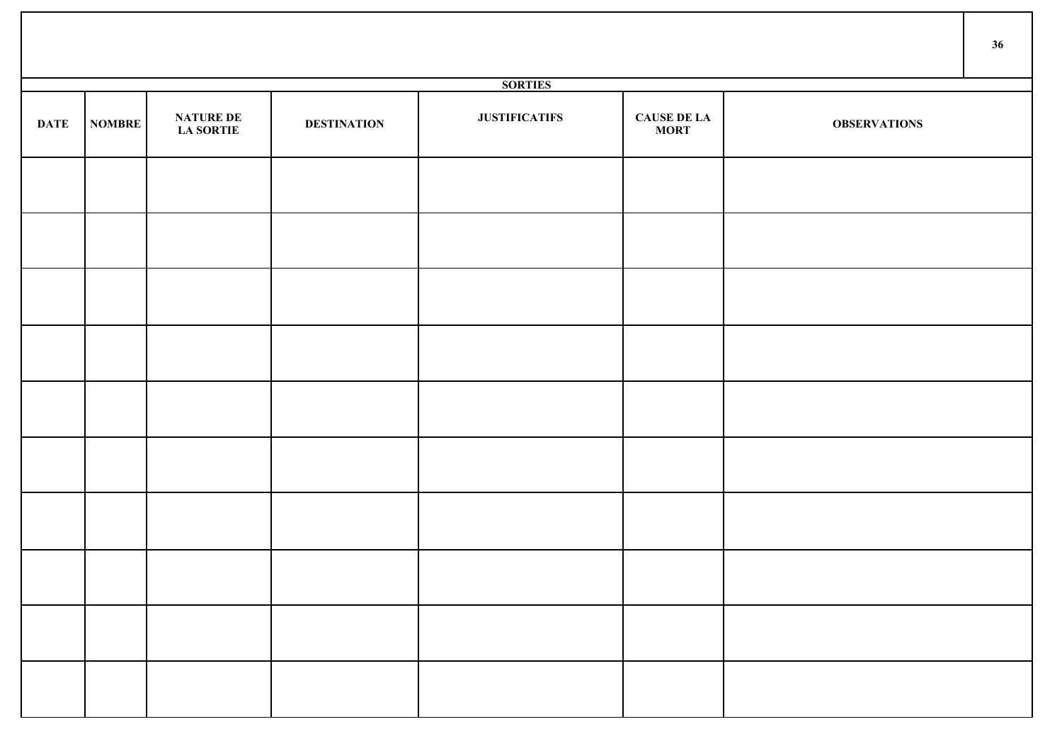|             |               |                                |                    |                      |                             |                     | 36 |
|-------------|---------------|--------------------------------|--------------------|----------------------|-----------------------------|---------------------|----|
|             |               |                                |                    | <b>SORTIES</b>       |                             |                     |    |
| <b>DATE</b> | <b>NOMBRE</b> | <b>NATURE DE<br/>LA SORTIE</b> | <b>DESTINATION</b> | <b>JUSTIFICATIFS</b> | <b>CAUSE DE LA<br/>MORT</b> | <b>OBSERVATIONS</b> |    |
|             |               |                                |                    |                      |                             |                     |    |
|             |               |                                |                    |                      |                             |                     |    |
|             |               |                                |                    |                      |                             |                     |    |
|             |               |                                |                    |                      |                             |                     |    |
|             |               |                                |                    |                      |                             |                     |    |
|             |               |                                |                    |                      |                             |                     |    |
|             |               |                                |                    |                      |                             |                     |    |
|             |               |                                |                    |                      |                             |                     |    |
|             |               |                                |                    |                      |                             |                     |    |
|             |               |                                |                    |                      |                             |                     |    |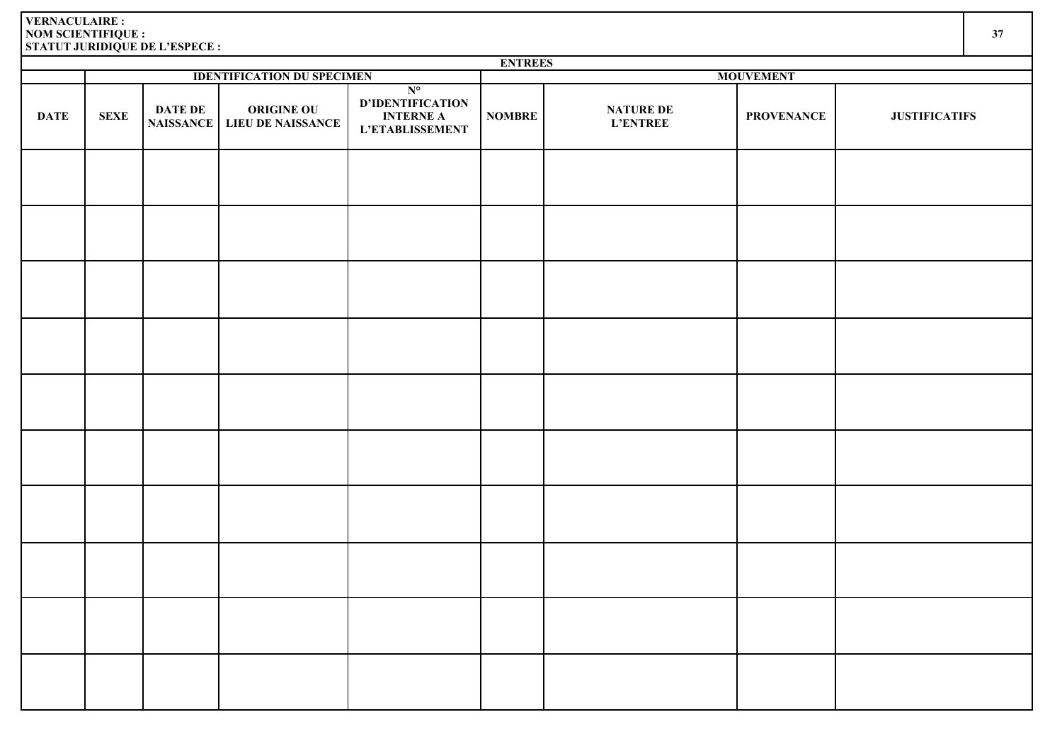|             |             |                             |                                               |                                                                               | <b>ENTREES</b> |                                     |                   |                      |
|-------------|-------------|-----------------------------|-----------------------------------------------|-------------------------------------------------------------------------------|----------------|-------------------------------------|-------------------|----------------------|
|             |             |                             | <b>IDENTIFICATION DU SPECIMEN</b>             |                                                                               |                |                                     | <b>MOUVEMENT</b>  |                      |
| <b>DATE</b> | <b>SEXE</b> | DATE DE<br><b>NAISSANCE</b> | <b>ORIGINE OU</b><br><b>LIEU DE NAISSANCE</b> | $N^{\circ}$<br>D'IDENTIFICATION<br><b>INTERNE A</b><br><b>L'ETABLISSEMENT</b> | <b>NOMBRE</b>  | <b>NATURE DE</b><br><b>L'ENTREE</b> | <b>PROVENANCE</b> | <b>JUSTIFICATIFS</b> |
|             |             |                             |                                               |                                                                               |                |                                     |                   |                      |
|             |             |                             |                                               |                                                                               |                |                                     |                   |                      |
|             |             |                             |                                               |                                                                               |                |                                     |                   |                      |
|             |             |                             |                                               |                                                                               |                |                                     |                   |                      |
|             |             |                             |                                               |                                                                               |                |                                     |                   |                      |
|             |             |                             |                                               |                                                                               |                |                                     |                   |                      |
|             |             |                             |                                               |                                                                               |                |                                     |                   |                      |
|             |             |                             |                                               |                                                                               |                |                                     |                   |                      |
|             |             |                             |                                               |                                                                               |                |                                     |                   |                      |
|             |             |                             |                                               |                                                                               |                |                                     |                   |                      |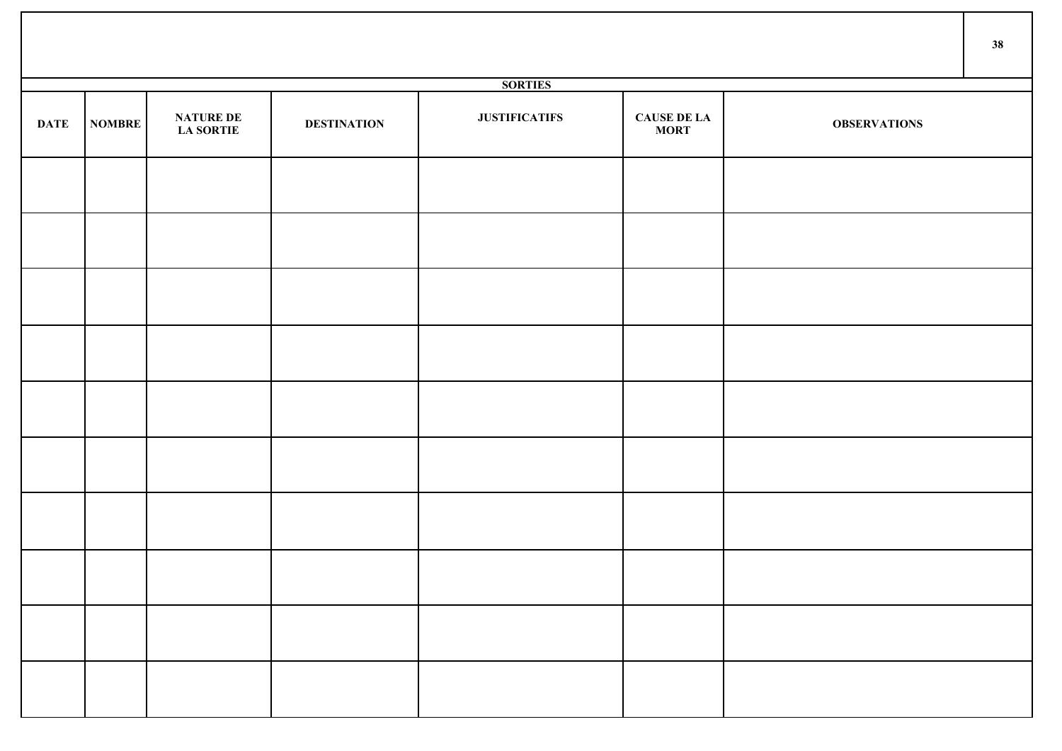|             |        |                                      |                    |                      |                             |                     | 38 |
|-------------|--------|--------------------------------------|--------------------|----------------------|-----------------------------|---------------------|----|
|             |        |                                      |                    | <b>SORTIES</b>       |                             |                     |    |
| <b>DATE</b> | NOMBRE | <b>NATURE DE</b><br><b>LA SORTIE</b> | <b>DESTINATION</b> | <b>JUSTIFICATIFS</b> | <b>CAUSE DE LA<br/>MORT</b> | <b>OBSERVATIONS</b> |    |
|             |        |                                      |                    |                      |                             |                     |    |
|             |        |                                      |                    |                      |                             |                     |    |
|             |        |                                      |                    |                      |                             |                     |    |
|             |        |                                      |                    |                      |                             |                     |    |
|             |        |                                      |                    |                      |                             |                     |    |
|             |        |                                      |                    |                      |                             |                     |    |
|             |        |                                      |                    |                      |                             |                     |    |
|             |        |                                      |                    |                      |                             |                     |    |
|             |        |                                      |                    |                      |                             |                     |    |
|             |        |                                      |                    |                      |                             |                     |    |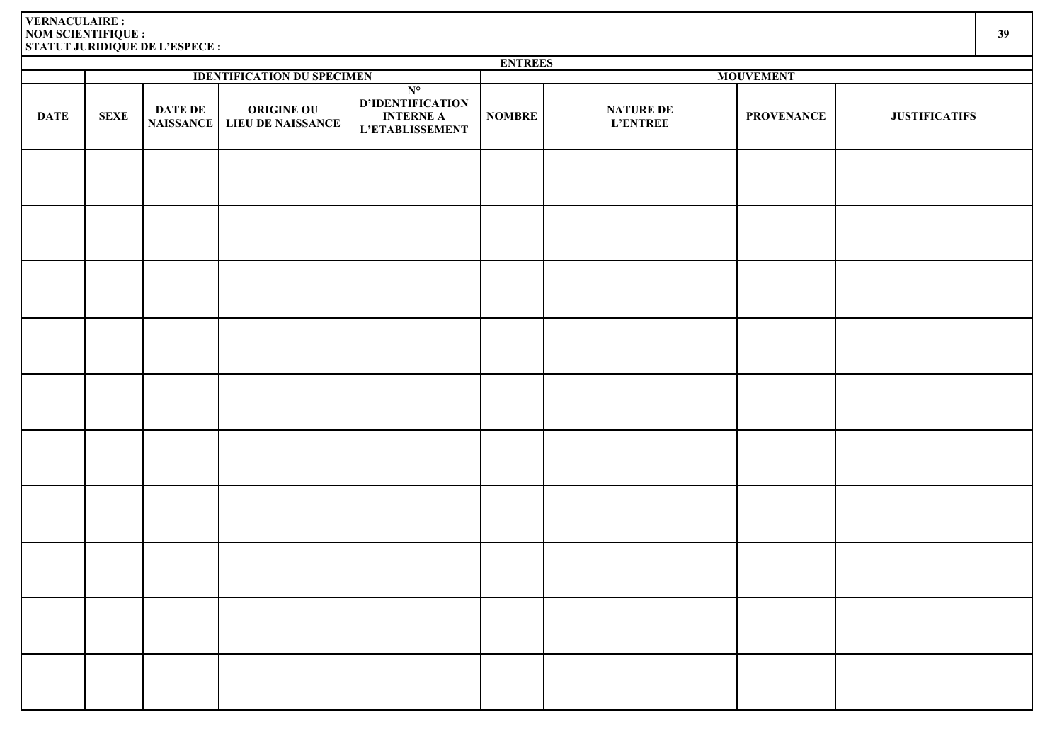|             | <b>ENTREES</b> |                                    |                                        |                                                                               |               |                              |                   |                      |  |  |  |
|-------------|----------------|------------------------------------|----------------------------------------|-------------------------------------------------------------------------------|---------------|------------------------------|-------------------|----------------------|--|--|--|
|             |                |                                    | <b>IDENTIFICATION DU SPECIMEN</b>      |                                                                               |               |                              | <b>MOUVEMENT</b>  |                      |  |  |  |
| <b>DATE</b> | <b>SEXE</b>    | <b>DATE DE</b><br><b>NAISSANCE</b> | <b>ORIGINE OU</b><br>LIEU DE NAISSANCE | $N^{\circ}$<br>D'IDENTIFICATION<br><b>INTERNE A</b><br><b>L'ETABLISSEMENT</b> | <b>NOMBRE</b> | NATURE DE<br><b>L'ENTREE</b> | <b>PROVENANCE</b> | <b>JUSTIFICATIFS</b> |  |  |  |
|             |                |                                    |                                        |                                                                               |               |                              |                   |                      |  |  |  |
|             |                |                                    |                                        |                                                                               |               |                              |                   |                      |  |  |  |
|             |                |                                    |                                        |                                                                               |               |                              |                   |                      |  |  |  |
|             |                |                                    |                                        |                                                                               |               |                              |                   |                      |  |  |  |
|             |                |                                    |                                        |                                                                               |               |                              |                   |                      |  |  |  |
|             |                |                                    |                                        |                                                                               |               |                              |                   |                      |  |  |  |
|             |                |                                    |                                        |                                                                               |               |                              |                   |                      |  |  |  |
|             |                |                                    |                                        |                                                                               |               |                              |                   |                      |  |  |  |
|             |                |                                    |                                        |                                                                               |               |                              |                   |                      |  |  |  |
|             |                |                                    |                                        |                                                                               |               |                              |                   |                      |  |  |  |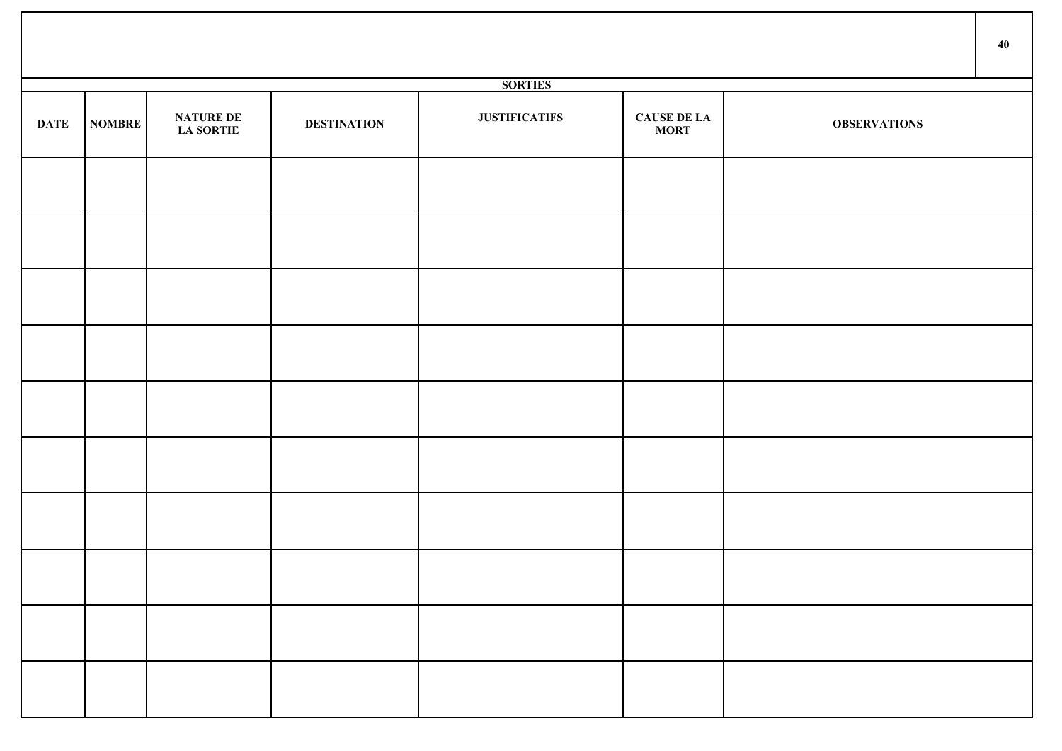|             |               |                                      |                    |                      |                                   |                     | 40 |
|-------------|---------------|--------------------------------------|--------------------|----------------------|-----------------------------------|---------------------|----|
|             |               |                                      |                    | <b>SORTIES</b>       |                                   |                     |    |
| <b>DATE</b> | <b>NOMBRE</b> | <b>NATURE DE</b><br><b>LA SORTIE</b> | <b>DESTINATION</b> | <b>JUSTIFICATIFS</b> | <b>CAUSE DE LA</b><br><b>MORT</b> | <b>OBSERVATIONS</b> |    |
|             |               |                                      |                    |                      |                                   |                     |    |
|             |               |                                      |                    |                      |                                   |                     |    |
|             |               |                                      |                    |                      |                                   |                     |    |
|             |               |                                      |                    |                      |                                   |                     |    |
|             |               |                                      |                    |                      |                                   |                     |    |
|             |               |                                      |                    |                      |                                   |                     |    |
|             |               |                                      |                    |                      |                                   |                     |    |
|             |               |                                      |                    |                      |                                   |                     |    |
|             |               |                                      |                    |                      |                                   |                     |    |
|             |               |                                      |                    |                      |                                   |                     |    |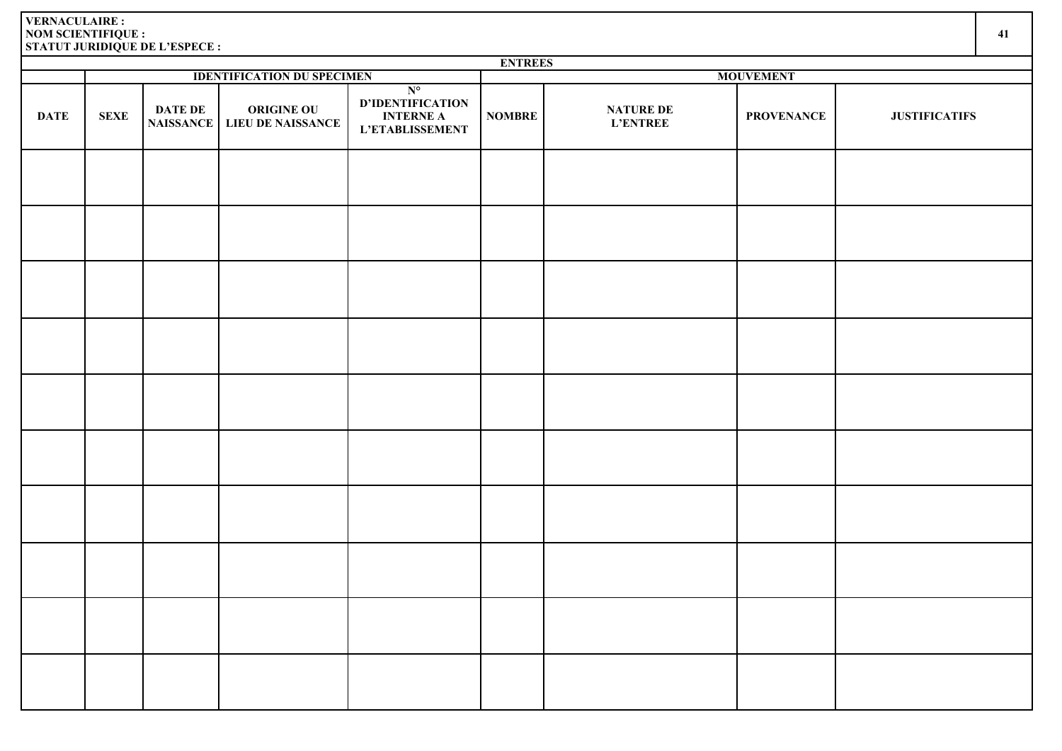|             |             |                                    |                                        |                                                                        | <b>ENTREES</b> |                                     |                   |                      |  |  |
|-------------|-------------|------------------------------------|----------------------------------------|------------------------------------------------------------------------|----------------|-------------------------------------|-------------------|----------------------|--|--|
|             |             |                                    | <b>IDENTIFICATION DU SPECIMEN</b>      |                                                                        |                |                                     | <b>MOUVEMENT</b>  |                      |  |  |
| <b>DATE</b> | <b>SEXE</b> | <b>DATE DE</b><br><b>NAISSANCE</b> | <b>ORIGINE OU</b><br>LIEU DE NAISSANCE | $N^{\circ}$<br>D'IDENTIFICATION<br><b>INTERNE A</b><br>L'ETABLISSEMENT | <b>NOMBRE</b>  | <b>NATURE DE</b><br><b>L'ENTREE</b> | <b>PROVENANCE</b> | <b>JUSTIFICATIFS</b> |  |  |
|             |             |                                    |                                        |                                                                        |                |                                     |                   |                      |  |  |
|             |             |                                    |                                        |                                                                        |                |                                     |                   |                      |  |  |
|             |             |                                    |                                        |                                                                        |                |                                     |                   |                      |  |  |
|             |             |                                    |                                        |                                                                        |                |                                     |                   |                      |  |  |
|             |             |                                    |                                        |                                                                        |                |                                     |                   |                      |  |  |
|             |             |                                    |                                        |                                                                        |                |                                     |                   |                      |  |  |
|             |             |                                    |                                        |                                                                        |                |                                     |                   |                      |  |  |
|             |             |                                    |                                        |                                                                        |                |                                     |                   |                      |  |  |
|             |             |                                    |                                        |                                                                        |                |                                     |                   |                      |  |  |
|             |             |                                    |                                        |                                                                        |                |                                     |                   |                      |  |  |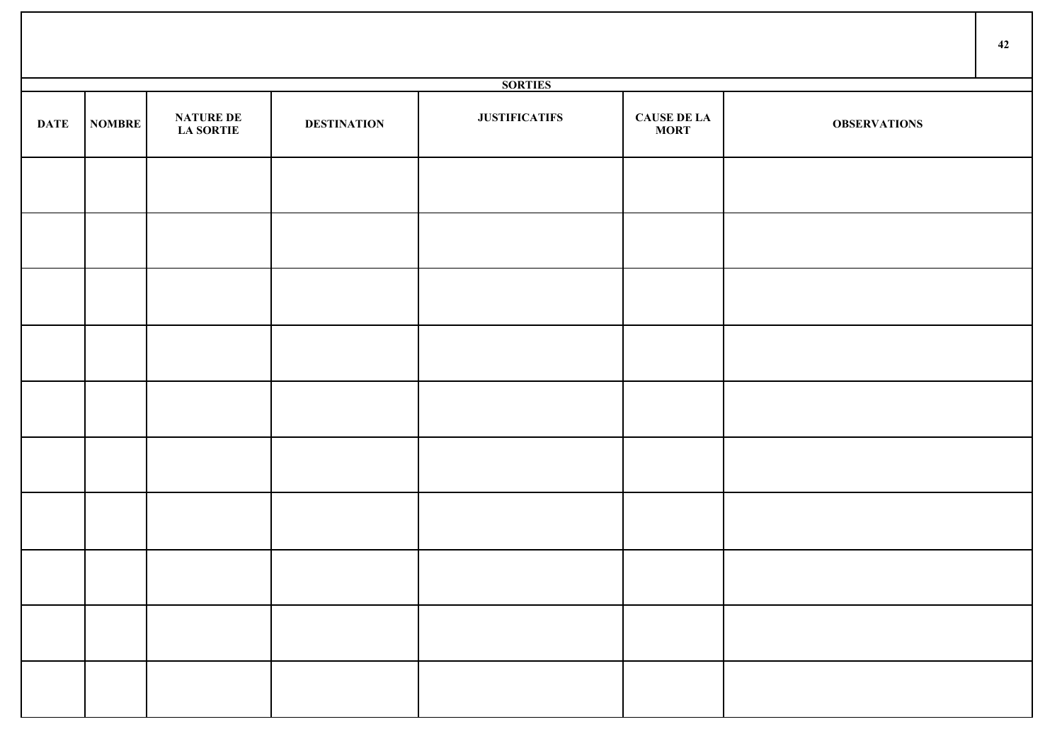|             |        |                                      |                    |                      |                                   |                     | 42 |
|-------------|--------|--------------------------------------|--------------------|----------------------|-----------------------------------|---------------------|----|
|             |        |                                      |                    | <b>SORTIES</b>       |                                   |                     |    |
| <b>DATE</b> | NOMBRE | <b>NATURE DE</b><br><b>LA SORTIE</b> | <b>DESTINATION</b> | <b>JUSTIFICATIFS</b> | <b>CAUSE DE LA</b><br><b>MORT</b> | <b>OBSERVATIONS</b> |    |
|             |        |                                      |                    |                      |                                   |                     |    |
|             |        |                                      |                    |                      |                                   |                     |    |
|             |        |                                      |                    |                      |                                   |                     |    |
|             |        |                                      |                    |                      |                                   |                     |    |
|             |        |                                      |                    |                      |                                   |                     |    |
|             |        |                                      |                    |                      |                                   |                     |    |
|             |        |                                      |                    |                      |                                   |                     |    |
|             |        |                                      |                    |                      |                                   |                     |    |
|             |        |                                      |                    |                      |                                   |                     |    |
|             |        |                                      |                    |                      |                                   |                     |    |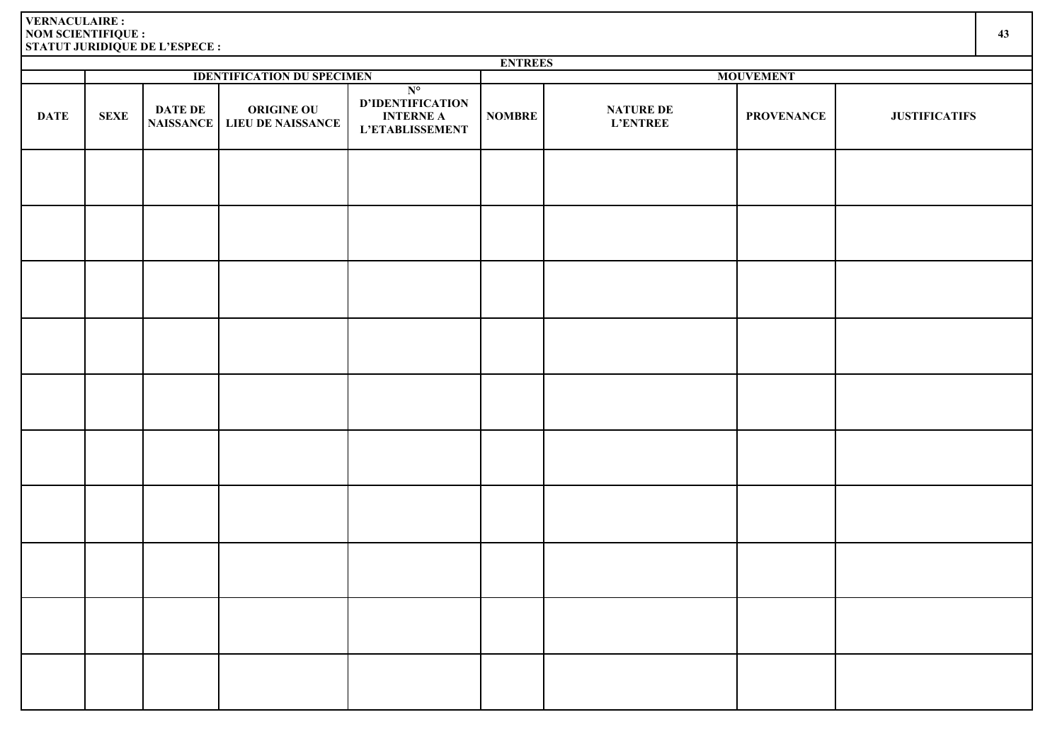**DATE SEXE DATE DE** 

|                                    |                                               |                                                                               | <b>ENTREES</b> |                                     |                   |                      |  |
|------------------------------------|-----------------------------------------------|-------------------------------------------------------------------------------|----------------|-------------------------------------|-------------------|----------------------|--|
|                                    | <b>IDENTIFICATION DU SPECIMEN</b>             |                                                                               |                |                                     | <b>MOUVEMENT</b>  |                      |  |
| <b>DATE DE</b><br><b>NAISSANCE</b> | <b>ORIGINE OU</b><br><b>LIEU DE NAISSANCE</b> | $N^{\circ}$<br><b>D'IDENTIFICATION</b><br><b>INTERNE A</b><br>L'ETABLISSEMENT | <b>NOMBRE</b>  | <b>NATURE DE</b><br><b>L'ENTREE</b> | <b>PROVENANCE</b> | <b>JUSTIFICATIFS</b> |  |
|                                    |                                               |                                                                               |                |                                     |                   |                      |  |
|                                    |                                               |                                                                               |                |                                     |                   |                      |  |
|                                    |                                               |                                                                               |                |                                     |                   |                      |  |
|                                    |                                               |                                                                               |                |                                     |                   |                      |  |
|                                    |                                               |                                                                               |                |                                     |                   |                      |  |
|                                    |                                               |                                                                               |                |                                     |                   |                      |  |
|                                    |                                               |                                                                               |                |                                     |                   |                      |  |
|                                    |                                               |                                                                               |                |                                     |                   |                      |  |
|                                    |                                               |                                                                               |                |                                     |                   |                      |  |
|                                    |                                               |                                                                               |                |                                     |                   |                      |  |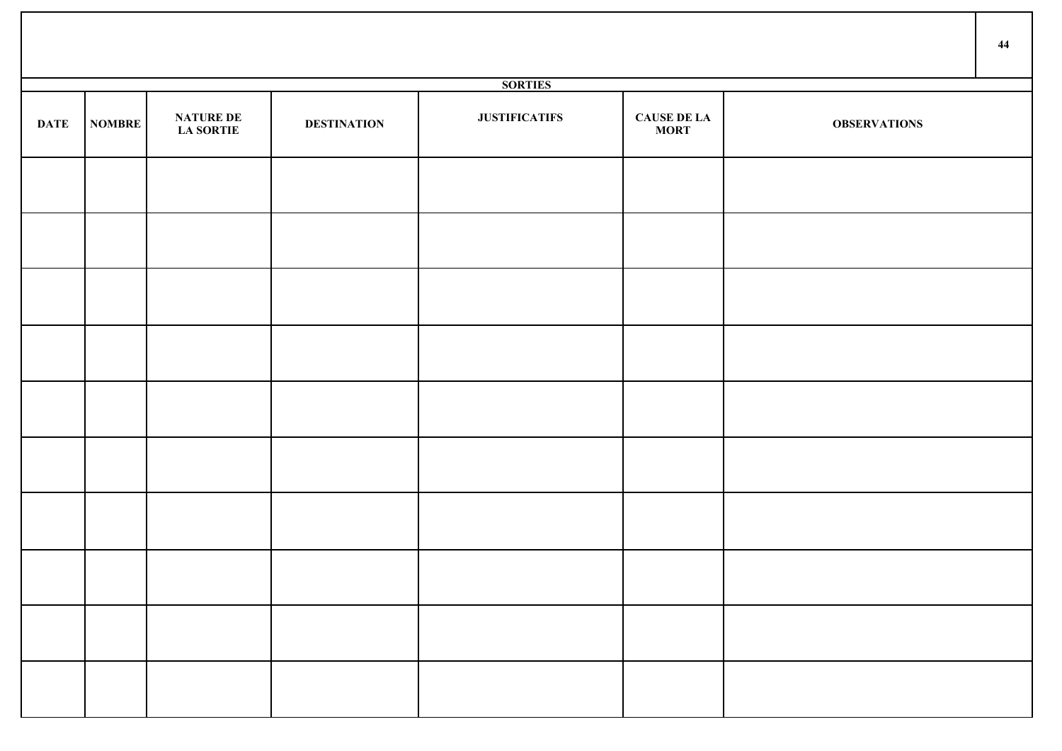|             |        |                                      |                    |                      |                                   |                     | 44 |
|-------------|--------|--------------------------------------|--------------------|----------------------|-----------------------------------|---------------------|----|
|             |        |                                      |                    | <b>SORTIES</b>       |                                   |                     |    |
| <b>DATE</b> | NOMBRE | <b>NATURE DE</b><br><b>LA SORTIE</b> | <b>DESTINATION</b> | <b>JUSTIFICATIFS</b> | <b>CAUSE DE LA</b><br><b>MORT</b> | <b>OBSERVATIONS</b> |    |
|             |        |                                      |                    |                      |                                   |                     |    |
|             |        |                                      |                    |                      |                                   |                     |    |
|             |        |                                      |                    |                      |                                   |                     |    |
|             |        |                                      |                    |                      |                                   |                     |    |
|             |        |                                      |                    |                      |                                   |                     |    |
|             |        |                                      |                    |                      |                                   |                     |    |
|             |        |                                      |                    |                      |                                   |                     |    |
|             |        |                                      |                    |                      |                                   |                     |    |
|             |        |                                      |                    |                      |                                   |                     |    |
|             |        |                                      |                    |                      |                                   |                     |    |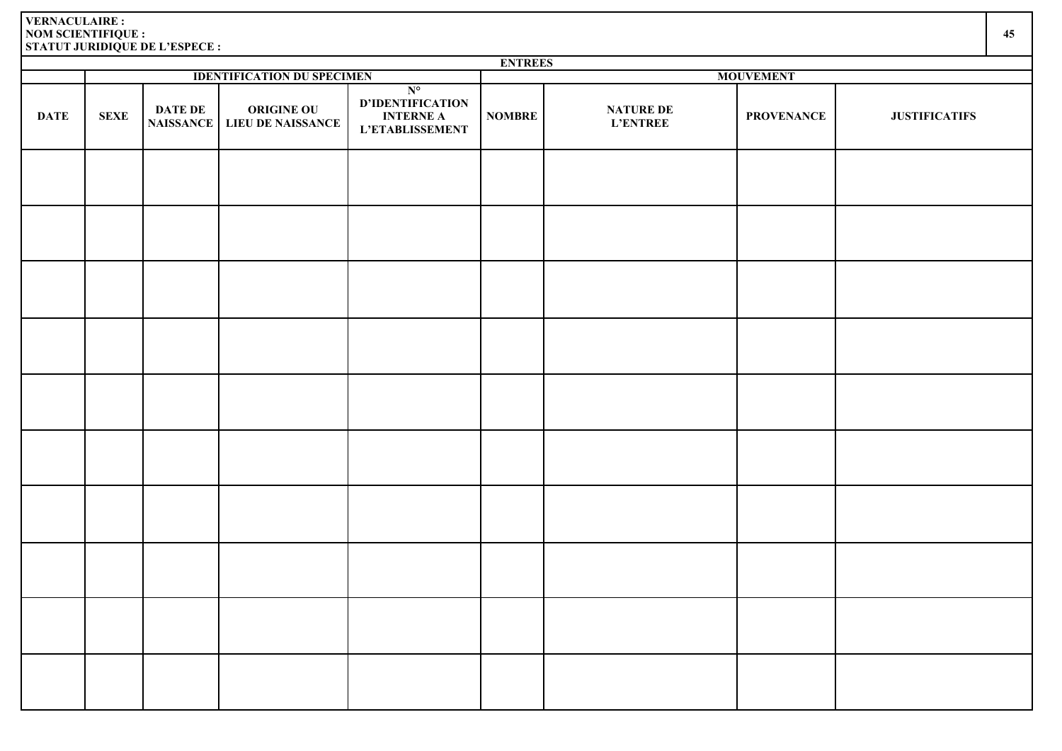| <b>ENTREES</b> |             |                                    |                                               |                                                                        |                  |                                     |                   |                      |  |
|----------------|-------------|------------------------------------|-----------------------------------------------|------------------------------------------------------------------------|------------------|-------------------------------------|-------------------|----------------------|--|
|                |             |                                    | <b>IDENTIFICATION DU SPECIMEN</b>             |                                                                        | <b>MOUVEMENT</b> |                                     |                   |                      |  |
| <b>DATE</b>    | <b>SEXE</b> | <b>DATE DE</b><br><b>NAISSANCE</b> | <b>ORIGINE OU</b><br><b>LIEU DE NAISSANCE</b> | $N^{\circ}$<br>D'IDENTIFICATION<br><b>INTERNE A</b><br>L'ETABLISSEMENT | <b>NOMBRE</b>    | <b>NATURE DE</b><br><b>L'ENTREE</b> | <b>PROVENANCE</b> | <b>JUSTIFICATIFS</b> |  |
|                |             |                                    |                                               |                                                                        |                  |                                     |                   |                      |  |
|                |             |                                    |                                               |                                                                        |                  |                                     |                   |                      |  |
|                |             |                                    |                                               |                                                                        |                  |                                     |                   |                      |  |
|                |             |                                    |                                               |                                                                        |                  |                                     |                   |                      |  |
|                |             |                                    |                                               |                                                                        |                  |                                     |                   |                      |  |
|                |             |                                    |                                               |                                                                        |                  |                                     |                   |                      |  |
|                |             |                                    |                                               |                                                                        |                  |                                     |                   |                      |  |
|                |             |                                    |                                               |                                                                        |                  |                                     |                   |                      |  |
|                |             |                                    |                                               |                                                                        |                  |                                     |                   |                      |  |
|                |             |                                    |                                               |                                                                        |                  |                                     |                   |                      |  |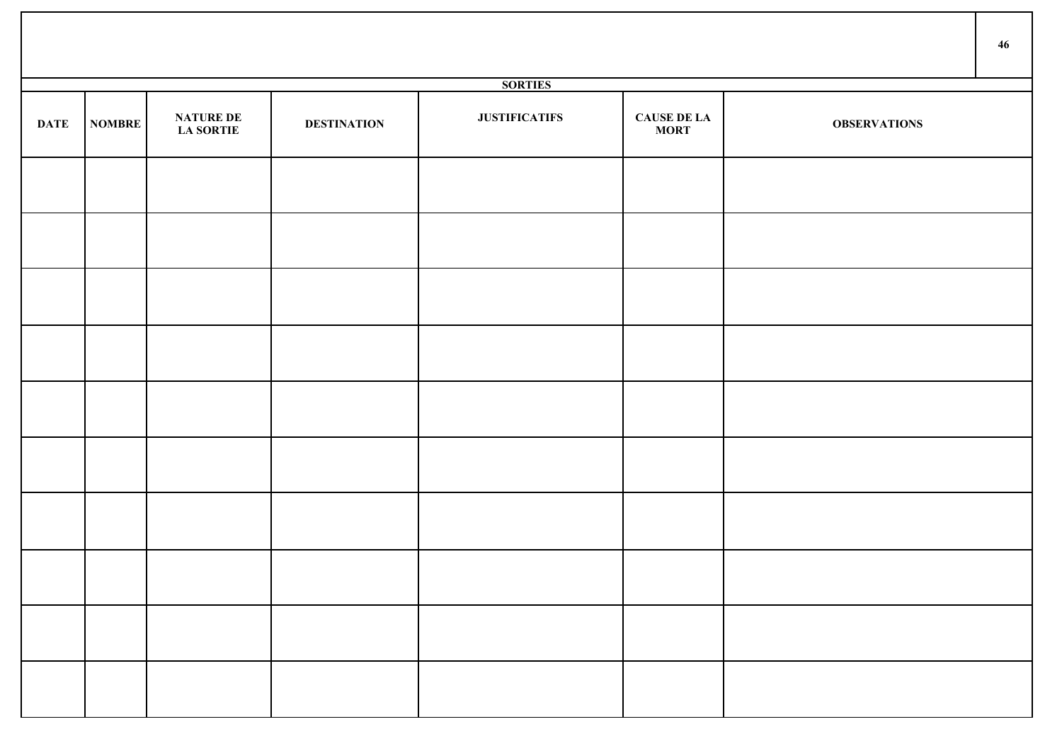|                |        |                                      |                    |                      |                                   |                     | 46 |  |  |
|----------------|--------|--------------------------------------|--------------------|----------------------|-----------------------------------|---------------------|----|--|--|
| <b>SORTIES</b> |        |                                      |                    |                      |                                   |                     |    |  |  |
| <b>DATE</b>    | NOMBRE | <b>NATURE DE</b><br><b>LA SORTIE</b> | <b>DESTINATION</b> | <b>JUSTIFICATIFS</b> | <b>CAUSE DE LA</b><br><b>MORT</b> | <b>OBSERVATIONS</b> |    |  |  |
|                |        |                                      |                    |                      |                                   |                     |    |  |  |
|                |        |                                      |                    |                      |                                   |                     |    |  |  |
|                |        |                                      |                    |                      |                                   |                     |    |  |  |
|                |        |                                      |                    |                      |                                   |                     |    |  |  |
|                |        |                                      |                    |                      |                                   |                     |    |  |  |
|                |        |                                      |                    |                      |                                   |                     |    |  |  |
|                |        |                                      |                    |                      |                                   |                     |    |  |  |
|                |        |                                      |                    |                      |                                   |                     |    |  |  |
|                |        |                                      |                    |                      |                                   |                     |    |  |  |
|                |        |                                      |                    |                      |                                   |                     |    |  |  |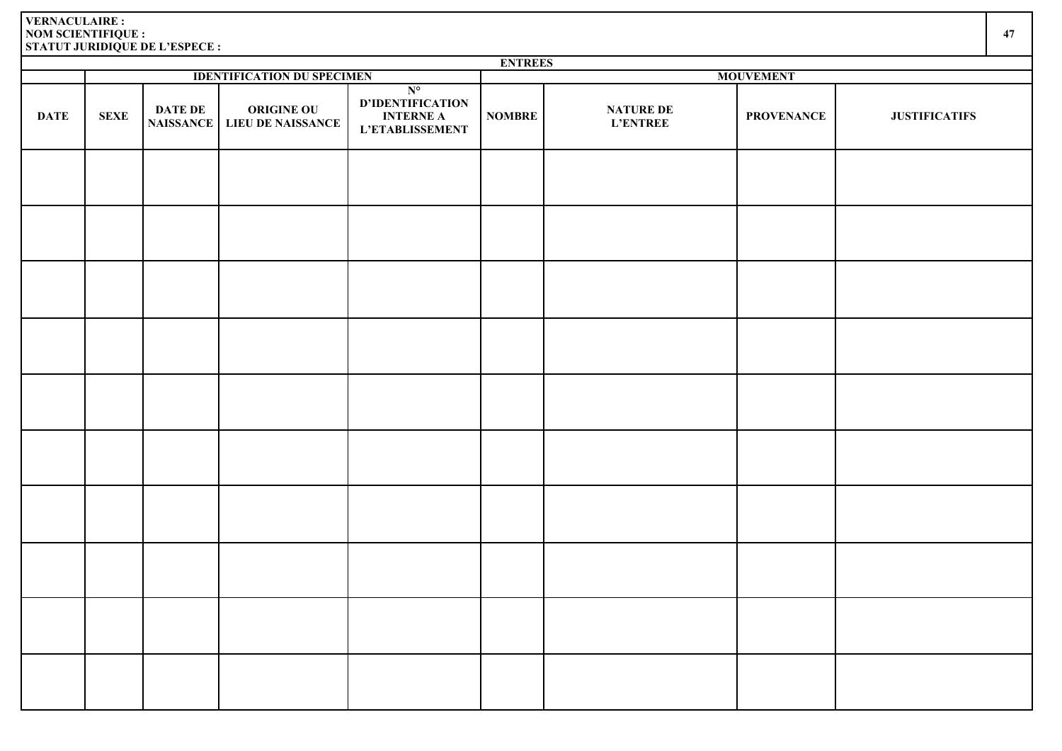| <b>ENTREES</b> |             |                                    |                                               |                                                                               |                  |                                     |                   |                      |  |
|----------------|-------------|------------------------------------|-----------------------------------------------|-------------------------------------------------------------------------------|------------------|-------------------------------------|-------------------|----------------------|--|
|                |             |                                    | <b>IDENTIFICATION DU SPECIMEN</b>             |                                                                               | <b>MOUVEMENT</b> |                                     |                   |                      |  |
| <b>DATE</b>    | <b>SEXE</b> | <b>DATE DE</b><br><b>NAISSANCE</b> | <b>ORIGINE OU</b><br><b>LIEU DE NAISSANCE</b> | $N^{\circ}$<br>D'IDENTIFICATION<br><b>INTERNE A</b><br><b>L'ETABLISSEMENT</b> | <b>NOMBRE</b>    | <b>NATURE DE</b><br><b>L'ENTREE</b> | <b>PROVENANCE</b> | <b>JUSTIFICATIFS</b> |  |
|                |             |                                    |                                               |                                                                               |                  |                                     |                   |                      |  |
|                |             |                                    |                                               |                                                                               |                  |                                     |                   |                      |  |
|                |             |                                    |                                               |                                                                               |                  |                                     |                   |                      |  |
|                |             |                                    |                                               |                                                                               |                  |                                     |                   |                      |  |
|                |             |                                    |                                               |                                                                               |                  |                                     |                   |                      |  |
|                |             |                                    |                                               |                                                                               |                  |                                     |                   |                      |  |
|                |             |                                    |                                               |                                                                               |                  |                                     |                   |                      |  |
|                |             |                                    |                                               |                                                                               |                  |                                     |                   |                      |  |
|                |             |                                    |                                               |                                                                               |                  |                                     |                   |                      |  |
|                |             |                                    |                                               |                                                                               |                  |                                     |                   |                      |  |